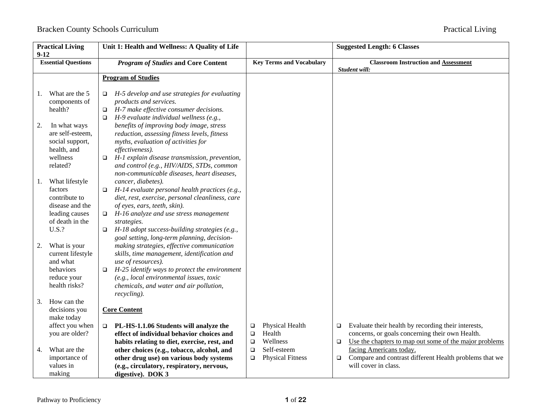| <b>Practical Living</b><br>$9 - 12$ |                                                                                            | Unit 1: Health and Wellness: A Quality of Life                                                                                                                                                                                                                                                                                  |                       | <b>Suggested Length: 6 Classes</b>     |                  |                                                                                                                                                                  |
|-------------------------------------|--------------------------------------------------------------------------------------------|---------------------------------------------------------------------------------------------------------------------------------------------------------------------------------------------------------------------------------------------------------------------------------------------------------------------------------|-----------------------|----------------------------------------|------------------|------------------------------------------------------------------------------------------------------------------------------------------------------------------|
|                                     | <b>Essential Questions</b>                                                                 | <b>Program of Studies and Core Content</b>                                                                                                                                                                                                                                                                                      |                       | <b>Key Terms and Vocabulary</b>        |                  | <b>Classroom Instruction and Assessment</b><br>Student will:                                                                                                     |
|                                     |                                                                                            | <b>Program of Studies</b>                                                                                                                                                                                                                                                                                                       |                       |                                        |                  |                                                                                                                                                                  |
| 1.                                  | What are the 5<br>components of<br>health?                                                 | H-5 develop and use strategies for evaluating<br>$\Box$<br>products and services.<br>H-7 make effective consumer decisions.<br>$\Box$<br>$H-9$ evaluate individual wellness (e.g.,<br>$\Box$                                                                                                                                    |                       |                                        |                  |                                                                                                                                                                  |
| 2.                                  | In what ways<br>are self-esteem,<br>social support,<br>health, and                         | benefits of improving body image, stress<br>reduction, assessing fitness levels, fitness<br>myths, evaluation of activities for<br>effectiveness).                                                                                                                                                                              |                       |                                        |                  |                                                                                                                                                                  |
|                                     | wellness<br>related?                                                                       | H-1 explain disease transmission, prevention,<br>$\Box$<br>and control (e.g., HIV/AIDS, STDs, common<br>non-communicable diseases, heart diseases,                                                                                                                                                                              |                       |                                        |                  |                                                                                                                                                                  |
| 1.                                  | What lifestyle<br>factors<br>contribute to<br>disease and the                              | cancer, diabetes).<br>$H-14$ evaluate personal health practices (e.g.,<br>$\Box$<br>diet, rest, exercise, personal cleanliness, care<br>of eyes, ears, teeth, skin).                                                                                                                                                            |                       |                                        |                  |                                                                                                                                                                  |
|                                     | leading causes<br>of death in the<br>U.S.?                                                 | H-16 analyze and use stress management<br>$\Box$<br>strategies.<br>H-18 adopt success-building strategies (e.g.,<br>$\Box$                                                                                                                                                                                                      |                       |                                        |                  |                                                                                                                                                                  |
| 2.                                  | What is your<br>current lifestyle<br>and what<br>behaviors<br>reduce your<br>health risks? | goal setting, long-term planning, decision-<br>making strategies, effective communication<br>skills, time management, identification and<br>use of resources).<br>H-25 identify ways to protect the environment<br>$\Box$<br>(e.g., local environmental issues, toxic<br>chemicals, and water and air pollution,<br>recycling). |                       |                                        |                  |                                                                                                                                                                  |
| 3.                                  | How can the<br>decisions you<br>make today                                                 | <b>Core Content</b>                                                                                                                                                                                                                                                                                                             |                       |                                        |                  |                                                                                                                                                                  |
|                                     | affect you when<br>you are older?                                                          | PL-HS-1.1.06 Students will analyze the<br>$\Box$<br>effect of individual behavior choices and<br>habits relating to diet, exercise, rest, and                                                                                                                                                                                   | □<br>$\Box$<br>$\Box$ | Physical Health<br>Health<br>Wellness  | $\Box$<br>$\Box$ | Evaluate their health by recording their interests,<br>concerns, or goals concerning their own Health.<br>Use the chapters to map out some of the major problems |
| 4.                                  | What are the<br>importance of<br>values in<br>making                                       | other choices (e.g., tobacco, alcohol, and<br>other drug use) on various body systems<br>(e.g., circulatory, respiratory, nervous,<br>digestive). DOK 3                                                                                                                                                                         | $\Box$<br>$\Box$      | Self-esteem<br><b>Physical Fitness</b> | $\Box$           | facing Americans today.<br>Compare and contrast different Health problems that we<br>will cover in class.                                                        |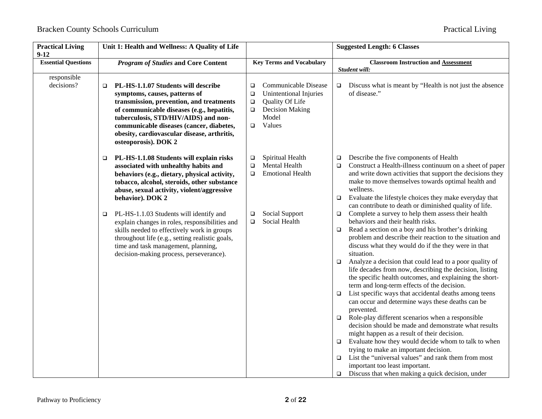| <b>Practical Living</b><br>$9-12$ | Unit 1: Health and Wellness: A Quality of Life                                                                                                                                                                                                                                                                                      |                                                                                                                                                             | <b>Suggested Length: 6 Classes</b>                                                                                                                                                                                                                                                                                                                                                                                                                                                                                                                                                                                                                                                                                                                                                                                                                                                                                                                                                                                                                                |
|-----------------------------------|-------------------------------------------------------------------------------------------------------------------------------------------------------------------------------------------------------------------------------------------------------------------------------------------------------------------------------------|-------------------------------------------------------------------------------------------------------------------------------------------------------------|-------------------------------------------------------------------------------------------------------------------------------------------------------------------------------------------------------------------------------------------------------------------------------------------------------------------------------------------------------------------------------------------------------------------------------------------------------------------------------------------------------------------------------------------------------------------------------------------------------------------------------------------------------------------------------------------------------------------------------------------------------------------------------------------------------------------------------------------------------------------------------------------------------------------------------------------------------------------------------------------------------------------------------------------------------------------|
| <b>Essential Questions</b>        | <b>Program of Studies and Core Content</b>                                                                                                                                                                                                                                                                                          | <b>Key Terms and Vocabulary</b>                                                                                                                             | <b>Classroom Instruction and Assessment</b><br>Student will:                                                                                                                                                                                                                                                                                                                                                                                                                                                                                                                                                                                                                                                                                                                                                                                                                                                                                                                                                                                                      |
| responsible<br>decisions?         | PL-HS-1.1.07 Students will describe<br>$\Box$<br>symptoms, causes, patterns of<br>transmission, prevention, and treatments<br>of communicable diseases (e.g., hepatitis,<br>tuberculosis, STD/HIV/AIDS) and non-<br>communicable diseases (cancer, diabetes,<br>obesity, cardiovascular disease, arthritis,<br>osteoporosis). DOK 2 | Communicable Disease<br>□<br>Unintentional Injuries<br>$\Box$<br>Quality Of Life<br>$\Box$<br><b>Decision Making</b><br>$\Box$<br>Model<br>Values<br>$\Box$ | Discuss what is meant by "Health is not just the absence<br>$\Box$<br>of disease."                                                                                                                                                                                                                                                                                                                                                                                                                                                                                                                                                                                                                                                                                                                                                                                                                                                                                                                                                                                |
|                                   | PL-HS-1.1.08 Students will explain risks<br>$\Box$<br>associated with unhealthy habits and<br>behaviors (e.g., dietary, physical activity,<br>tobacco, alcohol, steroids, other substance<br>abuse, sexual activity, violent/aggressive<br>behavior). DOK 2<br>PL-HS-1.1.03 Students will identify and<br>$\Box$                    | Spiritual Health<br>$\Box$<br>Mental Health<br>$\Box$<br><b>Emotional Health</b><br>$\Box$<br>Social Support<br>❏                                           | Describe the five components of Health<br>$\Box$<br>Construct a Health-illness continuum on a sheet of paper<br>$\Box$<br>and write down activities that support the decisions they<br>make to move themselves towards optimal health and<br>wellness.<br>Evaluate the lifestyle choices they make everyday that<br>$\Box$<br>can contribute to death or diminished quality of life.<br>Complete a survey to help them assess their health<br>$\Box$                                                                                                                                                                                                                                                                                                                                                                                                                                                                                                                                                                                                              |
|                                   | explain changes in roles, responsibilities and<br>skills needed to effectively work in groups<br>throughout life (e.g., setting realistic goals,<br>time and task management, planning,<br>decision-making process, perseverance).                                                                                                  | Social Health<br>□                                                                                                                                          | behaviors and their health risks.<br>Read a section on a boy and his brother's drinking<br>$\Box$<br>problem and describe their reaction to the situation and<br>discuss what they would do if the they were in that<br>situation.<br>Analyze a decision that could lead to a poor quality of<br>$\Box$<br>life decades from now, describing the decision, listing<br>the specific health outcomes, and explaining the short-<br>term and long-term effects of the decision.<br>List specific ways that accidental deaths among teens<br>$\Box$<br>can occur and determine ways these deaths can be<br>prevented.<br>Role-play different scenarios when a responsible<br>$\Box$<br>decision should be made and demonstrate what results<br>might happen as a result of their decision.<br>Evaluate how they would decide whom to talk to when<br>$\Box$<br>trying to make an important decision.<br>List the "universal values" and rank them from most<br>$\Box$<br>important too least important.<br>Discuss that when making a quick decision, under<br>$\Box$ |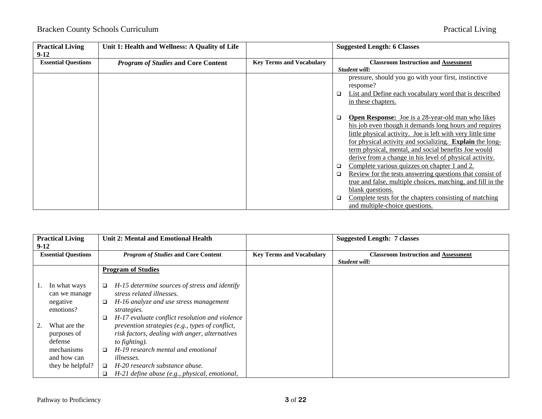| <b>Practical Living</b><br>$9-12$ | Unit 1: Health and Wellness: A Quality of Life |                                 | <b>Suggested Length: 6 Classes</b>                                                                                                                                                                                                                                                                                                                                           |
|-----------------------------------|------------------------------------------------|---------------------------------|------------------------------------------------------------------------------------------------------------------------------------------------------------------------------------------------------------------------------------------------------------------------------------------------------------------------------------------------------------------------------|
| <b>Essential Questions</b>        | <b>Program of Studies and Core Content</b>     | <b>Key Terms and Vocabulary</b> | <b>Classroom Instruction and Assessment</b>                                                                                                                                                                                                                                                                                                                                  |
|                                   |                                                |                                 | Student will:                                                                                                                                                                                                                                                                                                                                                                |
|                                   |                                                |                                 | pressure, should you go with your first, instinctive<br>response?                                                                                                                                                                                                                                                                                                            |
|                                   |                                                |                                 | List and Define each vocabulary word that is described<br>□                                                                                                                                                                                                                                                                                                                  |
|                                   |                                                |                                 | in these chapters.                                                                                                                                                                                                                                                                                                                                                           |
|                                   |                                                |                                 | <b>Open Response:</b> Joe is a 28-year-old man who likes<br>□<br>his job even though it demands long hours and requires<br>little physical activity. Joe is left with very little time<br>for physical activity and socializing. <b>Explain</b> the long-<br>term physical, mental, and social benefits Joe would<br>derive from a change in his level of physical activity. |
|                                   |                                                |                                 | Complete various quizzes on chapter 1 and 2.<br>❏                                                                                                                                                                                                                                                                                                                            |
|                                   |                                                |                                 | Review for the tests answering questions that consist of<br>□                                                                                                                                                                                                                                                                                                                |
|                                   |                                                |                                 | true and false, multiple choices, matching, and fill in the                                                                                                                                                                                                                                                                                                                  |
|                                   |                                                |                                 | blank questions.                                                                                                                                                                                                                                                                                                                                                             |
|                                   |                                                |                                 | Complete tests for the chapters consisting of matching<br>□<br>and multiple-choice questions.                                                                                                                                                                                                                                                                                |

| <b>Practical Living</b> |                            | Unit 2: Mental and Emotional Health |                                                 |                                 | <b>Suggested Length: 7 classes</b>          |
|-------------------------|----------------------------|-------------------------------------|-------------------------------------------------|---------------------------------|---------------------------------------------|
| $9-12$                  |                            |                                     |                                                 |                                 |                                             |
|                         | <b>Essential Questions</b> |                                     | <b>Program of Studies and Core Content</b>      | <b>Key Terms and Vocabulary</b> | <b>Classroom Instruction and Assessment</b> |
|                         |                            |                                     |                                                 |                                 | Student will:                               |
|                         |                            |                                     | <b>Program of Studies</b>                       |                                 |                                             |
|                         |                            |                                     |                                                 |                                 |                                             |
|                         | In what ways               |                                     | H-15 determine sources of stress and identify   |                                 |                                             |
|                         | can we manage              |                                     | stress related illnesses.                       |                                 |                                             |
|                         | negative                   |                                     | H-16 analyze and use stress management          |                                 |                                             |
|                         | emotions?                  |                                     | strategies.                                     |                                 |                                             |
|                         |                            |                                     | H-17 evaluate conflict resolution and violence  |                                 |                                             |
|                         | What are the               |                                     | prevention strategies (e.g., types of conflict, |                                 |                                             |
|                         | purposes of                |                                     | risk factors, dealing with anger, alternatives  |                                 |                                             |
|                         | defense                    |                                     | to fighting).                                   |                                 |                                             |
|                         | mechanisms                 |                                     | H-19 research mental and emotional              |                                 |                                             |
|                         | and how can                |                                     | <i>illnesses.</i>                               |                                 |                                             |
|                         | they be helpful?           | □                                   | H-20 research substance abuse.                  |                                 |                                             |
|                         |                            |                                     | H-21 define abuse (e.g., physical, emotional,   |                                 |                                             |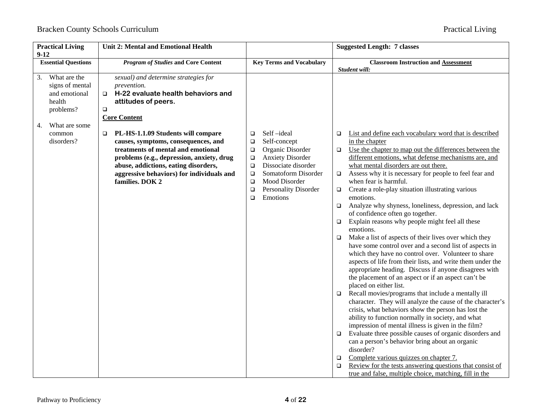| <b>Practical Living</b><br>$9 - 12$                                                                  | <b>Unit 2: Mental and Emotional Health</b>                                                                                                                                                                                                                                     |                                                                                                                                                                                                                                                                        | <b>Suggested Length: 7 classes</b>                                                                                                                                                                                                                                                                                                                                                                                                                                                                                                                                                                                                                                                                                                                                                                                                                                                                                                                                                                                                                                                                                                                                                                                                                                                                                                                                                                                                                                                                                                                                                                                                  |
|------------------------------------------------------------------------------------------------------|--------------------------------------------------------------------------------------------------------------------------------------------------------------------------------------------------------------------------------------------------------------------------------|------------------------------------------------------------------------------------------------------------------------------------------------------------------------------------------------------------------------------------------------------------------------|-------------------------------------------------------------------------------------------------------------------------------------------------------------------------------------------------------------------------------------------------------------------------------------------------------------------------------------------------------------------------------------------------------------------------------------------------------------------------------------------------------------------------------------------------------------------------------------------------------------------------------------------------------------------------------------------------------------------------------------------------------------------------------------------------------------------------------------------------------------------------------------------------------------------------------------------------------------------------------------------------------------------------------------------------------------------------------------------------------------------------------------------------------------------------------------------------------------------------------------------------------------------------------------------------------------------------------------------------------------------------------------------------------------------------------------------------------------------------------------------------------------------------------------------------------------------------------------------------------------------------------------|
| <b>Essential Questions</b>                                                                           | <b>Program of Studies and Core Content</b>                                                                                                                                                                                                                                     | <b>Key Terms and Vocabulary</b>                                                                                                                                                                                                                                        | <b>Classroom Instruction and Assessment</b><br>Student will:                                                                                                                                                                                                                                                                                                                                                                                                                                                                                                                                                                                                                                                                                                                                                                                                                                                                                                                                                                                                                                                                                                                                                                                                                                                                                                                                                                                                                                                                                                                                                                        |
| What are the<br>3.<br>signs of mental<br>and emotional<br>health<br>problems?<br>What are some<br>4. | sexual) and determine strategies for<br>prevention.<br>H-22 evaluate health behaviors and<br>$\Box$<br>attitudes of peers.<br>$\Box$<br><b>Core Content</b>                                                                                                                    |                                                                                                                                                                                                                                                                        |                                                                                                                                                                                                                                                                                                                                                                                                                                                                                                                                                                                                                                                                                                                                                                                                                                                                                                                                                                                                                                                                                                                                                                                                                                                                                                                                                                                                                                                                                                                                                                                                                                     |
| common<br>disorders?                                                                                 | PL-HS-1.1.09 Students will compare<br>$\Box$<br>causes, symptoms, consequences, and<br>treatments of mental and emotional<br>problems (e.g., depression, anxiety, drug<br>abuse, addictions, eating disorders,<br>aggressive behaviors) for individuals and<br>families. DOK 2 | Self-ideal<br>$\Box$<br>Self-concept<br>$\Box$<br>Organic Disorder<br>$\Box$<br><b>Anxiety Disorder</b><br>$\Box$<br>Dissociate disorder<br>$\Box$<br>Somatoform Disorder<br>$\Box$<br>Mood Disorder<br>$\Box$<br>Personality Disorder<br>$\Box$<br>Emotions<br>$\Box$ | List and define each vocabulary word that is described<br>$\Box$<br>in the chapter<br>Use the chapter to map out the differences between the<br>$\Box$<br>different emotions, what defense mechanisms are, and<br>what mental disorders are out there.<br>Assess why it is necessary for people to feel fear and<br>$\Box$<br>when fear is harmful.<br>Create a role-play situation illustrating various<br>$\Box$<br>emotions.<br>Analyze why shyness, loneliness, depression, and lack<br>$\Box$<br>of confidence often go together.<br>Explain reasons why people might feel all these<br>$\Box$<br>emotions.<br>Make a list of aspects of their lives over which they<br>$\Box$<br>have some control over and a second list of aspects in<br>which they have no control over. Volunteer to share<br>aspects of life from their lists, and write them under the<br>appropriate heading. Discuss if anyone disagrees with<br>the placement of an aspect or if an aspect can't be<br>placed on either list.<br>Recall movies/programs that include a mentally ill<br>$\Box$<br>character. They will analyze the cause of the character's<br>crisis, what behaviors show the person has lost the<br>ability to function normally in society, and what<br>impression of mental illness is given in the film?<br>Evaluate three possible causes of organic disorders and<br>$\Box$<br>can a person's behavior bring about an organic<br>disorder?<br>Complete various quizzes on chapter 7.<br>$\Box$<br>Review for the tests answering questions that consist of<br>$\Box$<br>true and false, multiple choice, matching, fill in the |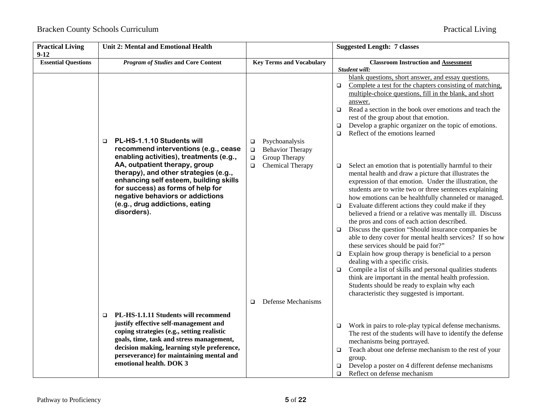| <b>Practical Living</b><br>$9-12$ | <b>Unit 2: Mental and Emotional Health</b>                                                                                                                                                                                                                                                              |                                                                                          | <b>Suggested Length: 7 classes</b>                                                                                                                                                                                                                                                                                                                                                                                                                                                                                                                                                                                                                                                                                                                                                                                                                                                                                                                                                   |
|-----------------------------------|---------------------------------------------------------------------------------------------------------------------------------------------------------------------------------------------------------------------------------------------------------------------------------------------------------|------------------------------------------------------------------------------------------|--------------------------------------------------------------------------------------------------------------------------------------------------------------------------------------------------------------------------------------------------------------------------------------------------------------------------------------------------------------------------------------------------------------------------------------------------------------------------------------------------------------------------------------------------------------------------------------------------------------------------------------------------------------------------------------------------------------------------------------------------------------------------------------------------------------------------------------------------------------------------------------------------------------------------------------------------------------------------------------|
| <b>Essential Questions</b>        | <b>Program of Studies and Core Content</b>                                                                                                                                                                                                                                                              | <b>Key Terms and Vocabulary</b>                                                          | <b>Classroom Instruction and Assessment</b><br>Student will:                                                                                                                                                                                                                                                                                                                                                                                                                                                                                                                                                                                                                                                                                                                                                                                                                                                                                                                         |
|                                   | PL-HS-1.1.10 Students will<br>$\Box$<br>recommend interventions (e.g., cease<br>enabling activities), treatments (e.g.,                                                                                                                                                                                 | Psychoanalysis<br>$\Box$<br><b>Behavior Therapy</b><br>$\Box$<br>Group Therapy<br>$\Box$ | blank questions, short answer, and essay questions.<br>Complete a test for the chapters consisting of matching.<br>□<br>multiple-choice questions, fill in the blank, and short<br>answer.<br>Read a section in the book over emotions and teach the<br>$\Box$<br>rest of the group about that emotion.<br>Develop a graphic organizer on the topic of emotions.<br>□<br>Reflect of the emotions learned<br>$\Box$                                                                                                                                                                                                                                                                                                                                                                                                                                                                                                                                                                   |
|                                   | AA, outpatient therapy, group<br>therapy), and other strategies (e.g.,<br>enhancing self esteem, building skills<br>for success) as forms of help for<br>negative behaviors or addictions<br>(e.g., drug addictions, eating<br>disorders).                                                              | Chemical Therapy<br>$\Box$                                                               | Select an emotion that is potentially harmful to their<br>□<br>mental health and draw a picture that illustrates the<br>expression of that emotion. Under the illustration, the<br>students are to write two or three sentences explaining<br>how emotions can be healthfully channeled or managed.<br>Evaluate different actions they could make if they<br>$\Box$<br>believed a friend or a relative was mentally ill. Discuss<br>the pros and cons of each action described.<br>Discuss the question "Should insurance companies be<br>$\Box$<br>able to deny cover for mental health services? If so how<br>these services should be paid for?"<br>Explain how group therapy is beneficial to a person<br>$\Box$<br>dealing with a specific crisis.<br>Compile a list of skills and personal qualities students<br>$\Box$<br>think are important in the mental health profession.<br>Students should be ready to explain why each<br>characteristic they suggested is important. |
|                                   | PL-HS-1.1.11 Students will recommend<br>$\Box$<br>justify effective self-management and<br>coping strategies (e.g., setting realistic<br>goals, time, task and stress management,<br>decision making, learning style preference,<br>perseverance) for maintaining mental and<br>emotional health. DOK 3 | Defense Mechanisms<br>$\Box$                                                             | Work in pairs to role-play typical defense mechanisms.<br>□<br>The rest of the students will have to identify the defense<br>mechanisms being portrayed.<br>Teach about one defense mechanism to the rest of your<br>□<br>group.<br>Develop a poster on 4 different defense mechanisms                                                                                                                                                                                                                                                                                                                                                                                                                                                                                                                                                                                                                                                                                               |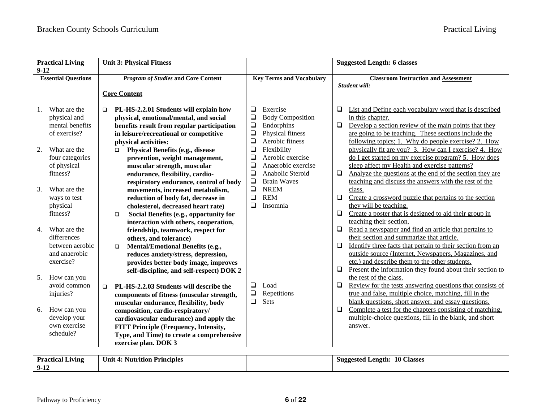| <b>Practical Living</b><br>$9-12$                                                                | <b>Unit 3: Physical Fitness</b>                                                                                                                                                                                                             |                                                                                                                                                   | <b>Suggested Length: 6 classes</b>                                                                                                                                                                                                                                                                                                                                    |  |
|--------------------------------------------------------------------------------------------------|---------------------------------------------------------------------------------------------------------------------------------------------------------------------------------------------------------------------------------------------|---------------------------------------------------------------------------------------------------------------------------------------------------|-----------------------------------------------------------------------------------------------------------------------------------------------------------------------------------------------------------------------------------------------------------------------------------------------------------------------------------------------------------------------|--|
| <b>Essential Questions</b>                                                                       | <b>Program of Studies and Core Content</b>                                                                                                                                                                                                  | <b>Key Terms and Vocabulary</b>                                                                                                                   | <b>Classroom Instruction and Assessment</b><br>Student will:                                                                                                                                                                                                                                                                                                          |  |
|                                                                                                  | <b>Core Content</b>                                                                                                                                                                                                                         |                                                                                                                                                   |                                                                                                                                                                                                                                                                                                                                                                       |  |
| What are the<br>1.<br>physical and<br>mental benefits<br>of exercise?                            | PL-HS-2.2.01 Students will explain how<br>$\Box$<br>physical, emotional/mental, and social<br>benefits result from regular participation<br>in leisure/recreational or competitive<br>physical activities:                                  | $\Box$<br>Exercise<br>$\Box$<br><b>Body Composition</b><br>$\Box$<br>Endorphins<br>$\Box$<br>Physical fitness<br>$\Box$<br>Aerobic fitness        | $\Box$<br>List and Define each vocabulary word that is described<br>in this chapter.<br>Develop a section review of the main points that they<br>$\Box$<br>are going to be teaching. These sections include the<br>following topics; 1. Why do people exercise? 2. How                                                                                                |  |
| What are the<br>2.<br>four categories<br>of physical<br>fitness?                                 | <b>Physical Benefits (e.g., disease</b><br>$\Box$<br>prevention, weight management,<br>muscular strength, muscular<br>endurance, flexibility, cardio-<br>respiratory endurance, control of body                                             | $\Box$<br>Flexibility<br>Aerobic exercise<br>$\Box$<br>$\Box$<br>Anaerobic exercise<br>$\Box$<br>Anabolic Steroid<br>$\Box$<br><b>Brain Waves</b> | physically fit are you? 3. How can I exercise? 4. How<br>do I get started on my exercise program? 5. How does<br>sleep affect my Health and exercise patterns?<br>Analyze the questions at the end of the section they are<br>$\Box$<br>teaching and discuss the answers with the rest of the                                                                         |  |
| What are the<br>3.<br>ways to test<br>physical<br>fitness?                                       | movements, increased metabolism,<br>reduction of body fat, decrease in<br>cholesterol, decreased heart rate)<br>Social Benefits (e.g., opportunity for<br>$\Box$<br>interaction with others, cooperation,                                   | $\Box$<br><b>NREM</b><br>$\Box$<br><b>REM</b><br>$\Box$<br>Insomnia                                                                               | class.<br>$\Box$<br>Create a crossword puzzle that pertains to the section<br>they will be teaching.<br>$\Box$<br>Create a poster that is designed to aid their group in<br>teaching their section.                                                                                                                                                                   |  |
| What are the<br>$\overline{4}$ .<br>differences<br>between aerobic<br>and anaerobic<br>exercise? | friendship, teamwork, respect for<br>others, and tolerance)<br><b>Mental/Emotional Benefits (e.g.,</b><br>$\Box$<br>reduces anxiety/stress, depression,<br>provides better body image, improves<br>self-discipline, and self-respect) DOK 2 |                                                                                                                                                   | $\Box$<br>Read a newspaper and find an article that pertains to<br>their section and summarize that article.<br>$\Box$<br>Identify three facts that pertain to their section from an<br>outside source (Internet, Newspapers, Magazines, and<br>etc.) and describe them to the other students.<br>Present the information they found about their section to<br>$\Box$ |  |
| How can you<br>5.<br>avoid common<br>injuries?                                                   | PL-HS-2.2.03 Students will describe the<br>$\Box$<br>components of fitness (muscular strength,<br>muscular endurance, flexibility, body                                                                                                     | $\Box$<br>Load<br>$\Box$<br>Repetitions<br>$\Box$<br>Sets                                                                                         | the rest of the class.<br>Review for the tests answering questions that consists of<br>$\Box$<br>true and false, multiple choice, matching, fill in the<br>blank questions, short answer, and essay questions.                                                                                                                                                        |  |
| How can you<br>6.<br>develop your<br>own exercise<br>schedule?                                   | composition, cardio-respiratory/<br>cardiovascular endurance) and apply the<br><b>FITT Principle (Frequency, Intensity,</b><br>Type, and Time) to create a comprehensive<br>exercise plan. DOK 3                                            |                                                                                                                                                   | Complete a test for the chapters consisting of matching.<br>$\Box$<br>multiple-choice questions, fill in the blank, and short<br>answer.                                                                                                                                                                                                                              |  |

| <b>Practical Living</b> | <b>Nutrition Principles</b><br>Unit $\sim$ | <b>10 Classes</b><br><b>Suggested</b><br>Length:<br>ຼ |
|-------------------------|--------------------------------------------|-------------------------------------------------------|
| 9-12                    |                                            |                                                       |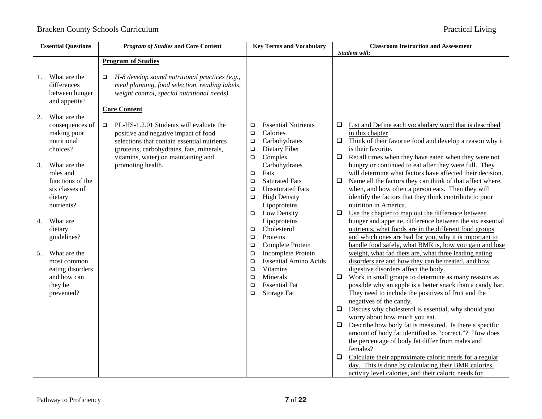|                      | <b>Essential Questions</b>                                                               | <b>Program of Studies and Core Content</b>                                                                                                                                                                                   |                                                | <b>Key Terms and Vocabulary</b>                                                                                                 |                                 | <b>Classroom Instruction and Assessment</b>                                                                                                                                                                                                                                                                                                                                                                                                                                                                                                                                                                                                                                                        |
|----------------------|------------------------------------------------------------------------------------------|------------------------------------------------------------------------------------------------------------------------------------------------------------------------------------------------------------------------------|------------------------------------------------|---------------------------------------------------------------------------------------------------------------------------------|---------------------------------|----------------------------------------------------------------------------------------------------------------------------------------------------------------------------------------------------------------------------------------------------------------------------------------------------------------------------------------------------------------------------------------------------------------------------------------------------------------------------------------------------------------------------------------------------------------------------------------------------------------------------------------------------------------------------------------------------|
|                      |                                                                                          |                                                                                                                                                                                                                              |                                                |                                                                                                                                 |                                 | Student will:                                                                                                                                                                                                                                                                                                                                                                                                                                                                                                                                                                                                                                                                                      |
|                      |                                                                                          | <b>Program of Studies</b>                                                                                                                                                                                                    |                                                |                                                                                                                                 |                                 |                                                                                                                                                                                                                                                                                                                                                                                                                                                                                                                                                                                                                                                                                                    |
| 1.                   | What are the<br>differences<br>between hunger<br>and appetite?                           | H-8 develop sound nutritional practices (e.g.,<br>$\Box$<br>meal planning, food selection, reading labels,<br>weight control, special nutritional needs).                                                                    |                                                |                                                                                                                                 |                                 |                                                                                                                                                                                                                                                                                                                                                                                                                                                                                                                                                                                                                                                                                                    |
|                      |                                                                                          | <b>Core Content</b>                                                                                                                                                                                                          |                                                |                                                                                                                                 |                                 |                                                                                                                                                                                                                                                                                                                                                                                                                                                                                                                                                                                                                                                                                                    |
| 2.                   | What are the<br>consequences of<br>making poor<br>nutritional<br>choices?                | PL-HS-1.2.01 Students will evaluate the<br>$\Box$<br>positive and negative impact of food<br>selections that contain essential nutrients<br>(proteins, carbohydrates, fats, minerals,<br>vitamins, water) on maintaining and | $\Box$<br>$\Box$<br>$\Box$<br>$\Box$<br>$\Box$ | <b>Essential Nutrients</b><br>Calories<br>Carbohydrates<br>Dietary Fiber<br>Complex                                             | Q.<br>$\Box$<br>$\Box$          | List and Define each vocabulary word that is described<br>in this chapter<br>Think of their favorite food and develop a reason why it<br>is their favorite.<br>Recall times when they have eaten when they were not                                                                                                                                                                                                                                                                                                                                                                                                                                                                                |
| 3.                   | What are the<br>roles and<br>functions of the<br>six classes of<br>dietary<br>nutrients? | promoting health.                                                                                                                                                                                                            | $\Box$<br>$\Box$<br>$\Box$<br>$\Box$<br>$\Box$ | Carbohydrates<br>Fats<br><b>Saturated Fats</b><br><b>Unsaturated Fats</b><br><b>High Density</b><br>Lipoproteins<br>Low Density | $\Box$<br>$\Box$                | hungry or continued to eat after they were full. They<br>will determine what factors have affected their decision.<br>Name all the factors they can think of that affect where,<br>when, and how often a person eats. Then they will<br>identify the factors that they think contribute to poor<br>nutrition in America.<br>Use the chapter to map out the difference between                                                                                                                                                                                                                                                                                                                      |
| 4.<br>5 <sub>1</sub> | What are<br>dietary<br>guidelines?<br>What are the<br>most common                        |                                                                                                                                                                                                                              | $\Box$<br>$\Box$<br>$\Box$<br>$\Box$<br>$\Box$ | Lipoproteins<br>Cholesterol<br>Proteins<br>Complete Protein<br>Incomplete Protein<br><b>Essential Amino Acids</b>               |                                 | hunger and appetite, difference between the six essential<br>nutrients, what foods are in the different food groups<br>and which ones are bad for you, why it is important to<br>handle food safely, what BMR is, how you gain and lose<br>weight, what fad diets are, what three leading eating<br>disorders are and how they can be treated, and how                                                                                                                                                                                                                                                                                                                                             |
|                      | eating disorders<br>and how can<br>they be<br>prevented?                                 |                                                                                                                                                                                                                              | $\Box$<br>$\Box$<br>$\Box$<br>$\Box$           | <b>Vitamins</b><br>Minerals<br><b>Essential Fat</b><br>Storage Fat                                                              | $\Box$<br>$\Box$<br>$\Box$<br>❏ | digestive disorders affect the body.<br>Work in small groups to determine as many reasons as<br>possible why an apple is a better snack than a candy bar.<br>They need to include the positives of fruit and the<br>negatives of the candy.<br>Discuss why cholesterol is essential, why should you<br>worry about how much you eat.<br>Describe how body fat is measured. Is there a specific<br>amount of body fat identified as "correct."? How does<br>the percentage of body fat differ from males and<br>females?<br>Calculate their approximate caloric needs for a regular<br>day. This is done by calculating their BMR calories,<br>activity level calories, and their caloric needs for |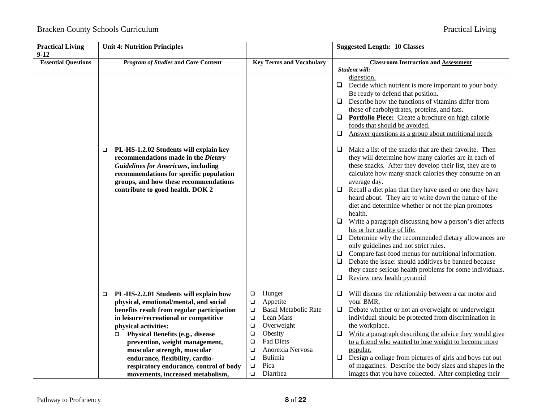| <b>Practical Living</b><br>$9 - 12$ | <b>Unit 4: Nutrition Principles</b>                                                                                                                                                                                                                             |                                                                                                                                                     | <b>Suggested Length: 10 Classes</b>                                                                                                                                                                                                                                                                                                                                                                                                                                                                                                                                                                                                                                                                                                                                                                                                                                                         |
|-------------------------------------|-----------------------------------------------------------------------------------------------------------------------------------------------------------------------------------------------------------------------------------------------------------------|-----------------------------------------------------------------------------------------------------------------------------------------------------|---------------------------------------------------------------------------------------------------------------------------------------------------------------------------------------------------------------------------------------------------------------------------------------------------------------------------------------------------------------------------------------------------------------------------------------------------------------------------------------------------------------------------------------------------------------------------------------------------------------------------------------------------------------------------------------------------------------------------------------------------------------------------------------------------------------------------------------------------------------------------------------------|
| <b>Essential Questions</b>          | <b>Program of Studies and Core Content</b>                                                                                                                                                                                                                      | <b>Key Terms and Vocabulary</b>                                                                                                                     | <b>Classroom Instruction and Assessment</b><br>Student will:                                                                                                                                                                                                                                                                                                                                                                                                                                                                                                                                                                                                                                                                                                                                                                                                                                |
|                                     |                                                                                                                                                                                                                                                                 |                                                                                                                                                     | digestion.<br>Decide which nutrient is more important to your body.<br>❏<br>Be ready to defend that position.<br>Describe how the functions of vitamins differ from<br>❏<br>those of carbohydrates, proteins, and fats.<br>Portfolio Piece: Create a brochure on high calorie<br>⊔<br>foods that should be avoided.<br>Answer questions as a group about nutritional needs<br>$\Box$                                                                                                                                                                                                                                                                                                                                                                                                                                                                                                        |
|                                     | PL-HS-1.2.02 Students will explain key<br>□<br>recommendations made in the Dietary<br><b>Guidelines for Americans, including</b><br>recommendations for specific population<br>groups, and how these recommendations<br>contribute to good health. DOK 2        |                                                                                                                                                     | Make a list of the snacks that are their favorite. Then<br>u<br>they will determine how many calories are in each of<br>these snacks. After they develop their list, they are to<br>calculate how many snack calories they consume on an<br>average day.<br>Recall a diet plan that they have used or one they have<br>$\Box$<br>heard about. They are to write down the nature of the<br>diet and determine whether or not the plan promotes<br>health.<br>Write a paragraph discussing how a person's diet affects<br>❏<br>his or her quality of life.<br>Determine why the recommended dietary allowances are<br>only guidelines and not strict rules.<br>Compare fast-food menus for nutritional information.<br>❏<br>Debate the issue: should additives be banned because<br>$\Box$<br>they cause serious health problems for some individuals.<br>Review new health pyramid<br>$\Box$ |
|                                     | PL-HS-2.2.01 Students will explain how<br>$\Box$<br>physical, emotional/mental, and social<br>benefits result from regular participation<br>in leisure/recreational or competitive<br>physical activities:<br><b>Physical Benefits (e.g., disease</b><br>$\Box$ | Hunger<br>$\Box$<br>$\Box$<br>Appetite<br><b>Basal Metabolic Rate</b><br>$\Box$<br>Lean Mass<br>$\Box$<br>Overweight<br>$\Box$<br>Obesity<br>$\Box$ | Will discuss the relationship between a car motor and<br>⊔<br>your BMR.<br>Debate whether or not an overweight or underweight<br>❏<br>individual should be protected from discrimination in<br>the workplace.<br>Write a paragraph describing the advice they would give<br>$\Box$                                                                                                                                                                                                                                                                                                                                                                                                                                                                                                                                                                                                          |
|                                     | prevention, weight management,<br>muscular strength, muscular<br>endurance, flexibility, cardio-<br>respiratory endurance, control of body<br>movements, increased metabolism,                                                                                  | <b>Fad Diets</b><br>$\Box$<br>Anorexia Nervosa<br>$\Box$<br>Bulimia<br>$\Box$<br>Pica<br>$\Box$<br>Diarrhea<br>$\Box$                               | to a friend who wanted to lose weight to become more<br>popular.<br>Design a collage from pictures of girls and boys cut out<br>$\Box$<br>of magazines. Describe the body sizes and shapes in the<br>images that you have collected. After completing their                                                                                                                                                                                                                                                                                                                                                                                                                                                                                                                                                                                                                                 |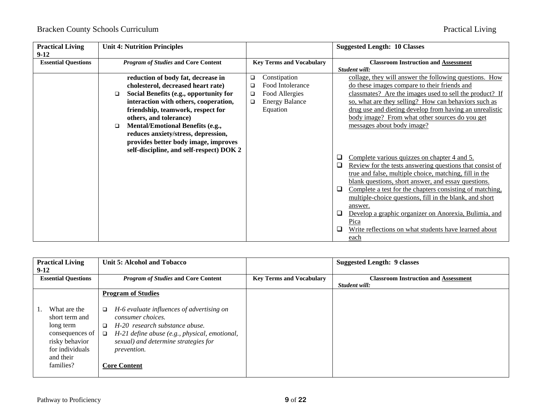| <b>Practical Living</b><br>$9-12$ |        | <b>Unit 4: Nutrition Principles</b>        |   |                                 |   | <b>Suggested Length: 10 Classes</b>                      |  |
|-----------------------------------|--------|--------------------------------------------|---|---------------------------------|---|----------------------------------------------------------|--|
| <b>Essential Questions</b>        |        | <b>Program of Studies and Core Content</b> |   | <b>Key Terms and Vocabulary</b> |   | <b>Classroom Instruction and Assessment</b>              |  |
|                                   |        |                                            |   |                                 |   | Student will:                                            |  |
|                                   |        | reduction of body fat, decrease in         | □ | Constipation                    |   | collage, they will answer the following questions. How   |  |
|                                   |        | cholesterol, decreased heart rate)         | □ | Food Intolerance                |   | do these images compare to their friends and             |  |
|                                   | $\Box$ | Social Benefits (e.g., opportunity for     | ❏ | Food Allergies                  |   | classmates? Are the images used to sell the product? If  |  |
|                                   |        | interaction with others, cooperation,      | □ | <b>Energy Balance</b>           |   | so, what are they selling? How can behaviors such as     |  |
|                                   |        | friendship, teamwork, respect for          |   | Equation                        |   | drug use and dieting develop from having an unrealistic  |  |
|                                   |        | others, and tolerance)                     |   |                                 |   | body image? From what other sources do you get           |  |
|                                   | □      | <b>Mental/Emotional Benefits (e.g.,</b>    |   |                                 |   | messages about body image?                               |  |
|                                   |        | reduces anxiety/stress, depression,        |   |                                 |   |                                                          |  |
|                                   |        | provides better body image, improves       |   |                                 |   |                                                          |  |
|                                   |        | self-discipline, and self-respect) DOK 2   |   |                                 |   |                                                          |  |
|                                   |        |                                            |   |                                 | u | Complete various quizzes on chapter 4 and 5.             |  |
|                                   |        |                                            |   |                                 | Q | Review for the tests answering questions that consist of |  |
|                                   |        |                                            |   |                                 |   | true and false, multiple choice, matching, fill in the   |  |
|                                   |        |                                            |   |                                 |   | blank questions, short answer, and essay questions.      |  |
|                                   |        |                                            |   |                                 | Q | Complete a test for the chapters consisting of matching, |  |
|                                   |        |                                            |   |                                 |   | multiple-choice questions, fill in the blank, and short  |  |
|                                   |        |                                            |   |                                 |   | answer.                                                  |  |
|                                   |        |                                            |   |                                 | ⊔ | Develop a graphic organizer on Anorexia, Bulimia, and    |  |
|                                   |        |                                            |   |                                 |   | Pica                                                     |  |
|                                   |        |                                            |   |                                 | ⊔ | Write reflections on what students have learned about    |  |
|                                   |        |                                            |   |                                 |   | each                                                     |  |

| <b>Practical Living</b>    | Unit 5: Alcohol and Tobacco                             |                                 | <b>Suggested Length: 9 classes</b>          |
|----------------------------|---------------------------------------------------------|---------------------------------|---------------------------------------------|
| $9-12$                     |                                                         |                                 |                                             |
| <b>Essential Questions</b> | <b>Program of Studies and Core Content</b>              | <b>Key Terms and Vocabulary</b> | <b>Classroom Instruction and Assessment</b> |
|                            |                                                         |                                 | Student will:                               |
|                            | <b>Program of Studies</b>                               |                                 |                                             |
|                            |                                                         |                                 |                                             |
| What are the               | H-6 evaluate influences of advertising on<br>$\Box$     |                                 |                                             |
| short term and             | consumer choices.                                       |                                 |                                             |
| long term                  | H-20 research substance abuse.<br>□                     |                                 |                                             |
| consequences of            | H-21 define abuse (e.g., physical, emotional,<br>$\Box$ |                                 |                                             |
| risky behavior             | sexual) and determine strategies for                    |                                 |                                             |
| for individuals            | <i>prevention.</i>                                      |                                 |                                             |
| and their                  |                                                         |                                 |                                             |
| families?                  | <b>Core Content</b>                                     |                                 |                                             |
|                            |                                                         |                                 |                                             |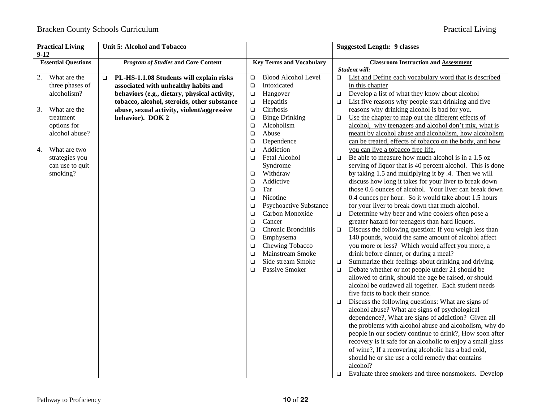| <b>Practical Living</b><br>$9 - 12$ | Unit 5: Alcohol and Tobacco                        |                                         | <b>Suggested Length: 9 classes</b>                                                                    |
|-------------------------------------|----------------------------------------------------|-----------------------------------------|-------------------------------------------------------------------------------------------------------|
| <b>Essential Questions</b>          | <b>Program of Studies and Core Content</b>         | <b>Key Terms and Vocabulary</b>         | <b>Classroom Instruction and Assessment</b><br>Student will:                                          |
| What are the<br>2.                  | PL-HS-1.1.08 Students will explain risks<br>$\Box$ | <b>Blood Alcohol Level</b><br>$\Box$    | List and Define each vocabulary word that is described<br>$\Box$                                      |
| three phases of                     | associated with unhealthy habits and               | Intoxicated<br>$\Box$                   | in this chapter                                                                                       |
| alcoholism?                         | behaviors (e.g., dietary, physical activity,       | Hangover<br>$\Box$                      | Develop a list of what they know about alcohol<br>$\Box$                                              |
|                                     | tobacco, alcohol, steroids, other substance        | $\Box$<br>Hepatitis                     | List five reasons why people start drinking and five<br>$\Box$                                        |
| What are the<br>3.                  | abuse, sexual activity, violent/aggressive         | Cirrhosis<br>$\Box$                     | reasons why drinking alcohol is bad for you.                                                          |
| treatment                           | behavior). DOK 2                                   | <b>Binge Drinking</b><br>$\Box$         | Use the chapter to map out the different effects of<br>о                                              |
| options for                         |                                                    | Alcoholism<br>$\Box$                    | alcohol, why teenagers and alcohol don't mix, what is                                                 |
| alcohol abuse?                      |                                                    | Abuse<br>$\Box$                         | meant by alcohol abuse and alcoholism, how alcoholism                                                 |
|                                     |                                                    | Dependence<br>$\Box$                    | can be treated, effects of tobacco on the body, and how                                               |
| What are two<br>4.                  |                                                    | Addiction<br>$\Box$                     | you can live a tobacco free life.                                                                     |
| strategies you                      |                                                    | Fetal Alcohol<br>$\Box$                 | Be able to measure how much alcohol is in a 1.5 oz<br>$\Box$                                          |
| can use to quit                     |                                                    | Syndrome                                | serving of liquor that is 40 percent alcohol. This is done                                            |
| smoking?                            |                                                    | Withdraw<br>$\Box$                      | by taking 1.5 and multiplying it by .4. Then we will                                                  |
|                                     |                                                    | Addictive<br>$\Box$                     | discuss how long it takes for your liver to break down                                                |
|                                     |                                                    | Tar<br>$\Box$                           | those 0.6 ounces of alcohol. Your liver can break down                                                |
|                                     |                                                    | Nicotine<br>$\Box$                      | 0.4 ounces per hour. So it would take about 1.5 hours                                                 |
|                                     |                                                    | <b>Psychoactive Substance</b><br>$\Box$ | for your liver to break down that much alcohol.                                                       |
|                                     |                                                    | Carbon Monoxide<br>$\Box$               | Determine why beer and wine coolers often pose a<br>$\Box$                                            |
|                                     |                                                    | Cancer<br>$\Box$                        | greater hazard for teenagers than hard liquors.                                                       |
|                                     |                                                    | Chronic Bronchitis<br>$\Box$            | Discuss the following question: If you weigh less than<br>$\Box$                                      |
|                                     |                                                    | Emphysema<br>$\Box$                     | 140 pounds, would the same amount of alcohol affect                                                   |
|                                     |                                                    | Chewing Tobacco<br>$\Box$               | you more or less? Which would affect you more, a                                                      |
|                                     |                                                    | <b>Mainstream Smoke</b><br>$\Box$       | drink before dinner, or during a meal?                                                                |
|                                     |                                                    | Side stream Smoke<br>$\Box$             | Summarize their feelings about drinking and driving.<br>$\Box$                                        |
|                                     |                                                    | Passive Smoker<br>$\Box$                | Debate whether or not people under 21 should be<br>$\Box$                                             |
|                                     |                                                    |                                         | allowed to drink, should the age be raised, or should                                                 |
|                                     |                                                    |                                         | alcohol be outlawed all together. Each student needs                                                  |
|                                     |                                                    |                                         | five facts to back their stance.                                                                      |
|                                     |                                                    |                                         | Discuss the following questions: What are signs of<br>$\Box$                                          |
|                                     |                                                    |                                         | alcohol abuse? What are signs of psychological<br>dependence?, What are signs of addiction? Given all |
|                                     |                                                    |                                         | the problems with alcohol abuse and alcoholism, why do                                                |
|                                     |                                                    |                                         | people in our society continue to drink?, How soon after                                              |
|                                     |                                                    |                                         | recovery is it safe for an alcoholic to enjoy a small glass                                           |
|                                     |                                                    |                                         | of wine?, If a recovering alcoholic has a bad cold,                                                   |
|                                     |                                                    |                                         | should he or she use a cold remedy that contains                                                      |
|                                     |                                                    |                                         | alcohol?                                                                                              |
|                                     |                                                    |                                         | Evaluate three smokers and three nonsmokers. Develop<br>□                                             |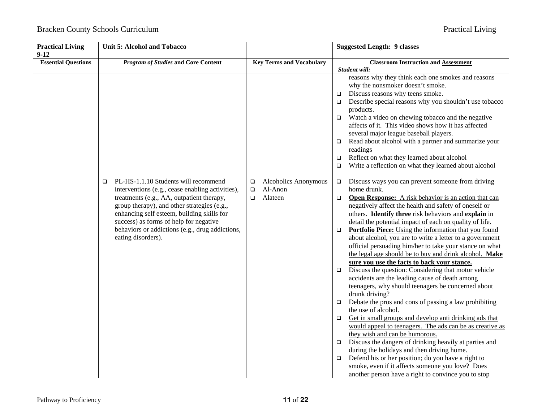| <b>Practical Living</b><br>$9 - 12$ |   | <b>Unit 5: Alcohol and Tobacco</b>               |        |                                 |        | <b>Suggested Length: 9 classes</b>                                           |
|-------------------------------------|---|--------------------------------------------------|--------|---------------------------------|--------|------------------------------------------------------------------------------|
| <b>Essential Questions</b>          |   | <b>Program of Studies and Core Content</b>       |        | <b>Key Terms and Vocabulary</b> |        | <b>Classroom Instruction and Assessment</b>                                  |
|                                     |   |                                                  |        |                                 |        | Student will:                                                                |
|                                     |   |                                                  |        |                                 |        | reasons why they think each one smokes and reasons                           |
|                                     |   |                                                  |        |                                 |        | why the nonsmoker doesn't smoke.                                             |
|                                     |   |                                                  |        |                                 |        | Discuss reasons why teens smoke.                                             |
|                                     |   |                                                  |        |                                 |        | Describe special reasons why you shouldn't use tobacco                       |
|                                     |   |                                                  |        |                                 |        | products.                                                                    |
|                                     |   |                                                  |        |                                 | $\Box$ | Watch a video on chewing tobacco and the negative                            |
|                                     |   |                                                  |        |                                 |        | affects of it. This video shows how it has affected                          |
|                                     |   |                                                  |        |                                 |        | several major league baseball players.                                       |
|                                     |   |                                                  |        |                                 | $\Box$ | Read about alcohol with a partner and summarize your<br>readings             |
|                                     |   |                                                  |        |                                 | $\Box$ | Reflect on what they learned about alcohol                                   |
|                                     |   |                                                  |        |                                 | $\Box$ | Write a reflection on what they learned about alcohol                        |
|                                     | □ | PL-HS-1.1.10 Students will recommend             | □      | Alcoholics Anonymous            | $\Box$ | Discuss ways you can prevent someone from driving                            |
|                                     |   | interventions (e.g., cease enabling activities), | $\Box$ | Al-Anon                         |        | home drunk.                                                                  |
|                                     |   | treatments (e.g., AA, outpatient therapy,        | $\Box$ | Alateen                         | $\Box$ | Open Response: A risk behavior is an action that can                         |
|                                     |   | group therapy), and other strategies (e.g.,      |        |                                 |        | negatively affect the health and safety of oneself or                        |
|                                     |   | enhancing self esteem, building skills for       |        |                                 |        | others. Identify three risk behaviors and explain in                         |
|                                     |   | success) as forms of help for negative           |        |                                 |        | detail the potential impact of each on quality of life.                      |
|                                     |   | behaviors or addictions (e.g., drug addictions,  |        |                                 | $\Box$ | Portfolio Piece: Using the information that you found                        |
|                                     |   | eating disorders).                               |        |                                 |        | about alcohol, you are to write a letter to a government                     |
|                                     |   |                                                  |        |                                 |        | official persuading him/her to take your stance on what                      |
|                                     |   |                                                  |        |                                 |        | the legal age should be to buy and drink alcohol. Make                       |
|                                     |   |                                                  |        |                                 |        | sure you use the facts to back your stance.                                  |
|                                     |   |                                                  |        |                                 | $\Box$ | Discuss the question: Considering that motor vehicle                         |
|                                     |   |                                                  |        |                                 |        | accidents are the leading cause of death among                               |
|                                     |   |                                                  |        |                                 |        | teenagers, why should teenagers be concerned about                           |
|                                     |   |                                                  |        |                                 |        | drunk driving?                                                               |
|                                     |   |                                                  |        |                                 | $\Box$ | Debate the pros and cons of passing a law prohibiting<br>the use of alcohol. |
|                                     |   |                                                  |        |                                 | $\Box$ | Get in small groups and develop anti drinking ads that                       |
|                                     |   |                                                  |        |                                 |        | would appeal to teenagers. The ads can be as creative as                     |
|                                     |   |                                                  |        |                                 |        | they wish and can be humorous.                                               |
|                                     |   |                                                  |        |                                 | $\Box$ | Discuss the dangers of drinking heavily at parties and                       |
|                                     |   |                                                  |        |                                 |        | during the holidays and then driving home.                                   |
|                                     |   |                                                  |        |                                 | $\Box$ | Defend his or her position; do you have a right to                           |
|                                     |   |                                                  |        |                                 |        | smoke, even if it affects someone you love? Does                             |
|                                     |   |                                                  |        |                                 |        | another person have a right to convince you to stop                          |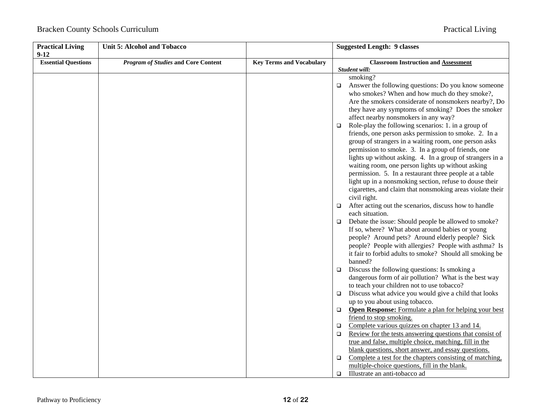| <b>Practical Living</b><br>$9-12$ | <b>Unit 5: Alcohol and Tobacco</b>         |                                 | <b>Suggested Length: 9 classes</b>                                                                                                                                                                                                                                                                                                                                                                                                                                                                                                                        |
|-----------------------------------|--------------------------------------------|---------------------------------|-----------------------------------------------------------------------------------------------------------------------------------------------------------------------------------------------------------------------------------------------------------------------------------------------------------------------------------------------------------------------------------------------------------------------------------------------------------------------------------------------------------------------------------------------------------|
| <b>Essential Questions</b>        | <b>Program of Studies and Core Content</b> | <b>Key Terms and Vocabulary</b> | <b>Classroom Instruction and Assessment</b>                                                                                                                                                                                                                                                                                                                                                                                                                                                                                                               |
|                                   |                                            |                                 | Student will:                                                                                                                                                                                                                                                                                                                                                                                                                                                                                                                                             |
|                                   |                                            |                                 | smoking?                                                                                                                                                                                                                                                                                                                                                                                                                                                                                                                                                  |
|                                   |                                            |                                 | Answer the following questions: Do you know someone<br>$\Box$<br>who smokes? When and how much do they smoke?,<br>Are the smokers considerate of nonsmokers nearby?, Do<br>they have any symptoms of smoking? Does the smoker                                                                                                                                                                                                                                                                                                                             |
|                                   |                                            |                                 | affect nearby nonsmokers in any way?                                                                                                                                                                                                                                                                                                                                                                                                                                                                                                                      |
|                                   |                                            |                                 | Role-play the following scenarios: 1. in a group of<br>$\Box$<br>friends, one person asks permission to smoke. 2. In a<br>group of strangers in a waiting room, one person asks<br>permission to smoke. 3. In a group of friends, one<br>lights up without asking. 4. In a group of strangers in a<br>waiting room, one person lights up without asking<br>permission. 5. In a restaurant three people at a table<br>light up in a nonsmoking section, refuse to douse their<br>cigarettes, and claim that nonsmoking areas violate their<br>civil right. |
|                                   |                                            |                                 | After acting out the scenarios, discuss how to handle<br>each situation.                                                                                                                                                                                                                                                                                                                                                                                                                                                                                  |
|                                   |                                            |                                 | Debate the issue: Should people be allowed to smoke?<br>$\Box$<br>If so, where? What about around babies or young<br>people? Around pets? Around elderly people? Sick<br>people? People with allergies? People with asthma? Is<br>it fair to forbid adults to smoke? Should all smoking be<br>banned?                                                                                                                                                                                                                                                     |
|                                   |                                            |                                 | Discuss the following questions: Is smoking a<br>$\Box$<br>dangerous form of air pollution? What is the best way<br>to teach your children not to use tobacco?                                                                                                                                                                                                                                                                                                                                                                                            |
|                                   |                                            |                                 | Discuss what advice you would give a child that looks<br>$\Box$                                                                                                                                                                                                                                                                                                                                                                                                                                                                                           |
|                                   |                                            |                                 | up to you about using tobacco.                                                                                                                                                                                                                                                                                                                                                                                                                                                                                                                            |
|                                   |                                            |                                 | Open Response: Formulate a plan for helping your best<br>$\Box$<br>friend to stop smoking.                                                                                                                                                                                                                                                                                                                                                                                                                                                                |
|                                   |                                            |                                 | Complete various quizzes on chapter 13 and 14.<br>$\Box$                                                                                                                                                                                                                                                                                                                                                                                                                                                                                                  |
|                                   |                                            |                                 | Review for the tests answering questions that consist of<br>$\Box$                                                                                                                                                                                                                                                                                                                                                                                                                                                                                        |
|                                   |                                            |                                 | true and false, multiple choice, matching, fill in the                                                                                                                                                                                                                                                                                                                                                                                                                                                                                                    |
|                                   |                                            |                                 | blank questions, short answer, and essay questions.<br>Complete a test for the chapters consisting of matching,<br>$\Box$                                                                                                                                                                                                                                                                                                                                                                                                                                 |
|                                   |                                            |                                 | multiple-choice questions, fill in the blank.<br>Illustrate an anti-tobacco ad<br>O.                                                                                                                                                                                                                                                                                                                                                                                                                                                                      |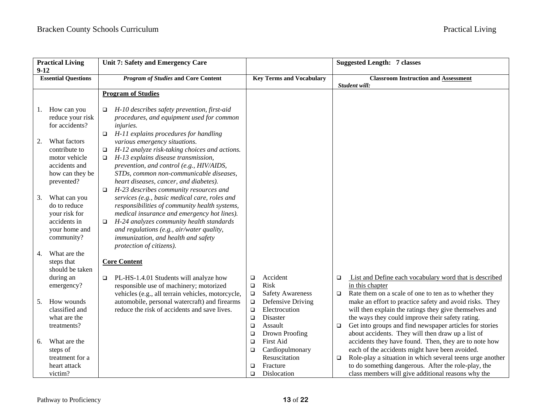| $9-12$ | <b>Practical Living</b>                                                                          | Unit 7: Safety and Emergency Care                                                                                                                                                                                                                                                                                              |                                                |                                                                             |                  | <b>Suggested Length: 7 classes</b>                                                                                                                                                                                                                                                    |
|--------|--------------------------------------------------------------------------------------------------|--------------------------------------------------------------------------------------------------------------------------------------------------------------------------------------------------------------------------------------------------------------------------------------------------------------------------------|------------------------------------------------|-----------------------------------------------------------------------------|------------------|---------------------------------------------------------------------------------------------------------------------------------------------------------------------------------------------------------------------------------------------------------------------------------------|
|        | <b>Essential Questions</b>                                                                       | <b>Program of Studies and Core Content</b>                                                                                                                                                                                                                                                                                     |                                                | <b>Key Terms and Vocabulary</b>                                             |                  | <b>Classroom Instruction and Assessment</b><br>Student will:                                                                                                                                                                                                                          |
|        |                                                                                                  | <b>Program of Studies</b>                                                                                                                                                                                                                                                                                                      |                                                |                                                                             |                  |                                                                                                                                                                                                                                                                                       |
| 1.     | How can you<br>reduce your risk<br>for accidents?                                                | H-10 describes safety prevention, first-aid<br>$\Box$<br>procedures, and equipment used for common<br>injuries.<br>H-11 explains procedures for handling<br>$\Box$                                                                                                                                                             |                                                |                                                                             |                  |                                                                                                                                                                                                                                                                                       |
| 2.     | What factors<br>contribute to<br>motor vehicle<br>accidents and<br>how can they be<br>prevented? | various emergency situations.<br>H-12 analyze risk-taking choices and actions.<br>$\Box$<br>H-13 explains disease transmission,<br>$\Box$<br>prevention, and control (e.g., HIV/AIDS,<br>STDs, common non-communicable diseases,<br>heart diseases, cancer, and diabetes).<br>H-23 describes community resources and<br>$\Box$ |                                                |                                                                             |                  |                                                                                                                                                                                                                                                                                       |
| 3.     | What can you<br>do to reduce<br>your risk for<br>accidents in<br>your home and<br>community?     | services (e.g., basic medical care, roles and<br>responsibilities of community health systems,<br>medical insurance and emergency hot lines).<br>H-24 analyzes community health standards<br>$\Box$<br>and regulations (e.g., air/water quality,<br>immunization, and health and safety<br>protection of citizens).            |                                                |                                                                             |                  |                                                                                                                                                                                                                                                                                       |
| 4.     | What are the<br>steps that<br>should be taken                                                    | <b>Core Content</b>                                                                                                                                                                                                                                                                                                            |                                                |                                                                             |                  |                                                                                                                                                                                                                                                                                       |
|        | during an<br>emergency?                                                                          | PL-HS-1.4.01 Students will analyze how<br>$\Box$<br>responsible use of machinery; motorized<br>vehicles (e.g., all terrain vehicles, motorcycle,                                                                                                                                                                               | $\Box$<br>$\Box$<br>$\Box$                     | Accident<br>Risk<br><b>Safety Awareness</b>                                 | $\Box$<br>$\Box$ | List and Define each vocabulary word that is described<br>in this chapter<br>Rate them on a scale of one to ten as to whether they                                                                                                                                                    |
| 5.     | How wounds<br>classified and<br>what are the<br>treatments?                                      | automobile, personal watercraft) and firearms<br>reduce the risk of accidents and save lives.                                                                                                                                                                                                                                  | $\Box$<br>$\Box$<br>$\Box$<br>$\Box$<br>$\Box$ | Defensive Driving<br>Electrocution<br>Disaster<br>Assault<br>Drown Proofing | $\Box$           | make an effort to practice safety and avoid risks. They<br>will then explain the ratings they give themselves and<br>the ways they could improve their safety rating.<br>Get into groups and find newspaper articles for stories<br>about accidents. They will then draw up a list of |
| 6.     | What are the<br>steps of<br>treatment for a                                                      |                                                                                                                                                                                                                                                                                                                                | $\Box$<br>$\Box$                               | First Aid<br>Cardiopulmonary<br>Resuscitation                               | $\Box$           | accidents they have found. Then, they are to note how<br>each of the accidents might have been avoided.<br>Role-play a situation in which several teens urge another                                                                                                                  |
|        | heart attack<br>victim?                                                                          |                                                                                                                                                                                                                                                                                                                                | □<br>$\Box$                                    | Fracture<br>Dislocation                                                     |                  | to do something dangerous. After the role-play, the<br>class members will give additional reasons why the                                                                                                                                                                             |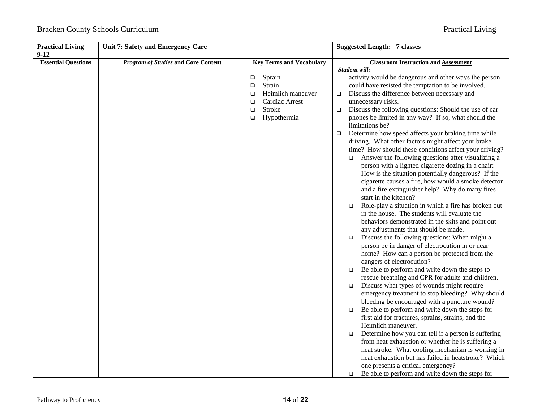| <b>Practical Living</b><br>$9-12$ | Unit 7: Safety and Emergency Care          |                                                                                                                                              | <b>Suggested Length: 7 classes</b>                                                                                                                                                                                                                                                                                                                                                                                                                                                                                                                                                                                                                                                                                                                                                                                                                                                                                                                                                                                                                                                                                                                                                                                                                                                                                                                                                                                                                                                                                                                                                                                                                                                                                                                                                                                                                                                                                 |
|-----------------------------------|--------------------------------------------|----------------------------------------------------------------------------------------------------------------------------------------------|--------------------------------------------------------------------------------------------------------------------------------------------------------------------------------------------------------------------------------------------------------------------------------------------------------------------------------------------------------------------------------------------------------------------------------------------------------------------------------------------------------------------------------------------------------------------------------------------------------------------------------------------------------------------------------------------------------------------------------------------------------------------------------------------------------------------------------------------------------------------------------------------------------------------------------------------------------------------------------------------------------------------------------------------------------------------------------------------------------------------------------------------------------------------------------------------------------------------------------------------------------------------------------------------------------------------------------------------------------------------------------------------------------------------------------------------------------------------------------------------------------------------------------------------------------------------------------------------------------------------------------------------------------------------------------------------------------------------------------------------------------------------------------------------------------------------------------------------------------------------------------------------------------------------|
| <b>Essential Questions</b>        | <b>Program of Studies and Core Content</b> | <b>Key Terms and Vocabulary</b>                                                                                                              | <b>Classroom Instruction and Assessment</b>                                                                                                                                                                                                                                                                                                                                                                                                                                                                                                                                                                                                                                                                                                                                                                                                                                                                                                                                                                                                                                                                                                                                                                                                                                                                                                                                                                                                                                                                                                                                                                                                                                                                                                                                                                                                                                                                        |
|                                   |                                            | Sprain<br>$\Box$<br>Strain<br>$\Box$<br>Heimlich maneuver<br>$\Box$<br>Cardiac Arrest<br>$\Box$<br>Stroke<br>$\Box$<br>Hypothermia<br>$\Box$ | Student will:<br>activity would be dangerous and other ways the person<br>could have resisted the temptation to be involved.<br>Discuss the difference between necessary and<br>$\Box$<br>unnecessary risks.<br>Discuss the following questions: Should the use of car<br>$\Box$<br>phones be limited in any way? If so, what should the<br>limitations be?<br>Determine how speed affects your braking time while<br>$\Box$<br>driving. What other factors might affect your brake<br>time? How should these conditions affect your driving?<br>$\Box$ Answer the following questions after visualizing a<br>person with a lighted cigarette dozing in a chair:<br>How is the situation potentially dangerous? If the<br>cigarette causes a fire, how would a smoke detector<br>and a fire extinguisher help? Why do many fires<br>start in the kitchen?<br>Role-play a situation in which a fire has broken out<br>$\Box$<br>in the house. The students will evaluate the<br>behaviors demonstrated in the skits and point out<br>any adjustments that should be made.<br>Discuss the following questions: When might a<br>$\Box$<br>person be in danger of electrocution in or near<br>home? How can a person be protected from the<br>dangers of electrocution?<br>Be able to perform and write down the steps to<br>$\Box$<br>rescue breathing and CPR for adults and children.<br>Discuss what types of wounds might require<br>□<br>emergency treatment to stop bleeding? Why should<br>bleeding be encouraged with a puncture wound?<br>Be able to perform and write down the steps for<br>$\Box$<br>first aid for fractures, sprains, strains, and the<br>Heimlich maneuver.<br>Determine how you can tell if a person is suffering<br>□<br>from heat exhaustion or whether he is suffering a<br>heat stroke. What cooling mechanism is working in<br>heat exhaustion but has failed in heatstroke? Which |
|                                   |                                            |                                                                                                                                              | one presents a critical emergency?<br>Be able to perform and write down the steps for<br>□                                                                                                                                                                                                                                                                                                                                                                                                                                                                                                                                                                                                                                                                                                                                                                                                                                                                                                                                                                                                                                                                                                                                                                                                                                                                                                                                                                                                                                                                                                                                                                                                                                                                                                                                                                                                                         |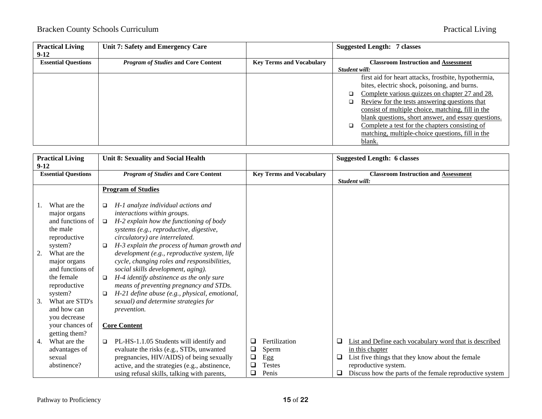| <b>Practical Living</b>    | Unit 7: Safety and Emergency Care          |                                 | <b>Suggested Length: 7 classes</b>                   |
|----------------------------|--------------------------------------------|---------------------------------|------------------------------------------------------|
| $9-12$                     |                                            |                                 |                                                      |
| <b>Essential Questions</b> | <b>Program of Studies and Core Content</b> | <b>Key Terms and Vocabulary</b> | <b>Classroom Instruction and Assessment</b>          |
|                            |                                            |                                 | Student will:                                        |
|                            |                                            |                                 | first aid for heart attacks, frostbite, hypothermia, |
|                            |                                            |                                 | bites, electric shock, poisoning, and burns.         |
|                            |                                            |                                 | Complete various quizzes on chapter 27 and 28.       |
|                            |                                            |                                 | Review for the tests answering questions that        |
|                            |                                            |                                 | consist of multiple choice, matching, fill in the    |
|                            |                                            |                                 | blank questions, short answer, and essay questions.  |
|                            |                                            |                                 | Complete a test for the chapters consisting of<br>□  |
|                            |                                            |                                 | matching, multiple-choice questions, fill in the     |
|                            |                                            |                                 | blank.                                               |

| $9-12$ | <b>Practical Living</b>                                                                              | Unit 8: Sexuality and Social Health                                                                                                                                                                                                                                                                                                                    |                                 |                                                         |             | <b>Suggested Length: 6 classes</b>                                                                                                                                                                               |
|--------|------------------------------------------------------------------------------------------------------|--------------------------------------------------------------------------------------------------------------------------------------------------------------------------------------------------------------------------------------------------------------------------------------------------------------------------------------------------------|---------------------------------|---------------------------------------------------------|-------------|------------------------------------------------------------------------------------------------------------------------------------------------------------------------------------------------------------------|
|        | <b>Essential Questions</b>                                                                           | <b>Program of Studies and Core Content</b>                                                                                                                                                                                                                                                                                                             |                                 | <b>Key Terms and Vocabulary</b>                         |             | <b>Classroom Instruction and Assessment</b><br>Student will:                                                                                                                                                     |
|        |                                                                                                      | <b>Program of Studies</b>                                                                                                                                                                                                                                                                                                                              |                                 |                                                         |             |                                                                                                                                                                                                                  |
|        | What are the<br>major organs<br>and functions of<br>the male<br>reproductive                         | H-1 analyze individual actions and<br>$\Box$<br>interactions within groups.<br>H-2 explain how the functioning of body<br>$\Box$<br>systems (e.g., reproductive, digestive,<br>circulatory) are interrelated.                                                                                                                                          |                                 |                                                         |             |                                                                                                                                                                                                                  |
| 2.     | system?<br>What are the<br>major organs<br>and functions of<br>the female<br>reproductive<br>system? | H-3 explain the process of human growth and<br>$\Box$<br>development (e.g., reproductive system, life<br>cycle, changing roles and responsibilities,<br>social skills development, aging).<br>H-4 identify abstinence as the only sure<br>$\Box$<br>means of preventing pregnancy and STDs.<br>H-21 define abuse (e.g., physical, emotional,<br>$\Box$ |                                 |                                                         |             |                                                                                                                                                                                                                  |
| 3.     | What are STD's<br>and how can<br>you decrease<br>your chances of<br>getting them?                    | sexual) and determine strategies for<br><i>prevention.</i><br><b>Core Content</b>                                                                                                                                                                                                                                                                      |                                 |                                                         |             |                                                                                                                                                                                                                  |
| 4.     | What are the<br>advantages of<br>sexual<br>abstinence?                                               | PL-HS-1.1.05 Students will identify and<br>$\Box$<br>evaluate the risks (e.g., STDs, unwanted<br>pregnancies, HIV/AIDS) of being sexually<br>active, and the strategies (e.g., abstinence,<br>using refusal skills, talking with parents,                                                                                                              | □<br>$\Box$<br>❏<br>$\Box$<br>❏ | Fertilization<br>Sperm<br>Egg<br><b>Testes</b><br>Penis | ⊔<br>⊔<br>⊔ | List and Define each vocabulary word that is described<br>in this chapter<br>List five things that they know about the female<br>reproductive system.<br>Discuss how the parts of the female reproductive system |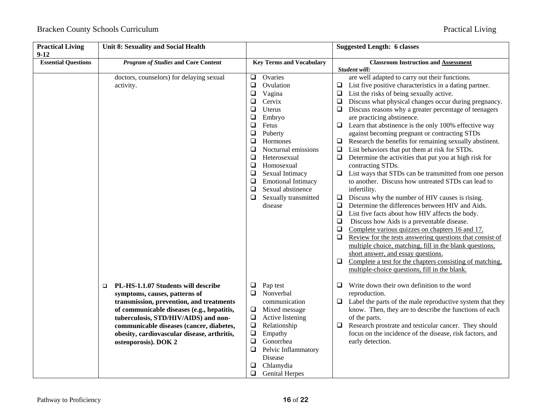| <b>Practical Living</b><br>$9 - 12$ | <b>Unit 8: Sexuality and Social Health</b>                                                                                                                                                                                                                                                                                          |                                                                                                                                                                                                                                                                                                                                                                                                                 | <b>Suggested Length: 6 classes</b>                                                                                                                                                                                                                                                                                                                                                                                                                                                                                                                                                                                                                                                                                                                                                                                                                                                                                                                                                                                                                                                                                                                                                                                                                                                                                                                                                                                |
|-------------------------------------|-------------------------------------------------------------------------------------------------------------------------------------------------------------------------------------------------------------------------------------------------------------------------------------------------------------------------------------|-----------------------------------------------------------------------------------------------------------------------------------------------------------------------------------------------------------------------------------------------------------------------------------------------------------------------------------------------------------------------------------------------------------------|-------------------------------------------------------------------------------------------------------------------------------------------------------------------------------------------------------------------------------------------------------------------------------------------------------------------------------------------------------------------------------------------------------------------------------------------------------------------------------------------------------------------------------------------------------------------------------------------------------------------------------------------------------------------------------------------------------------------------------------------------------------------------------------------------------------------------------------------------------------------------------------------------------------------------------------------------------------------------------------------------------------------------------------------------------------------------------------------------------------------------------------------------------------------------------------------------------------------------------------------------------------------------------------------------------------------------------------------------------------------------------------------------------------------|
| <b>Essential Questions</b>          | <b>Program of Studies and Core Content</b>                                                                                                                                                                                                                                                                                          | <b>Key Terms and Vocabulary</b>                                                                                                                                                                                                                                                                                                                                                                                 | <b>Classroom Instruction and Assessment</b><br>Student will:                                                                                                                                                                                                                                                                                                                                                                                                                                                                                                                                                                                                                                                                                                                                                                                                                                                                                                                                                                                                                                                                                                                                                                                                                                                                                                                                                      |
|                                     | doctors, counselors) for delaying sexual<br>activity.                                                                                                                                                                                                                                                                               | $\Box$<br>Ovaries<br>$\Box$<br>Ovulation<br>$\Box$<br>Vagina<br>$\Box$<br>Cervix<br>$\Box$<br>Uterus<br>❏<br>Embryo<br>$\Box$<br>Fetus<br>$\Box$<br>Puberty<br>$\Box$<br>Hormones<br>Nocturnal emissions<br>$\Box$<br>$\Box$<br>Heterosexual<br>$\Box$<br>Homosexual<br>$\Box$<br>Sexual Intimacy<br><b>Emotional Intimacy</b><br>❏<br>Sexual abstinence<br>$\Box$<br>$\Box$<br>Sexually transmitted<br>disease | are well adapted to carry out their functions.<br>List five positive characteristics in a dating partner.<br>$\Box$<br>List the risks of being sexually active.<br>$\Box$<br>Discuss what physical changes occur during pregnancy.<br>$\Box$<br>Discuss reasons why a greater percentage of teenagers<br>⊔<br>are practicing abstinence.<br>Learn that abstinence is the only 100% effective way<br>⊔<br>against becoming pregnant or contracting STDs<br>Research the benefits for remaining sexually abstinent.<br>⊔<br>List behaviors that put them at risk for STDs.<br>$\Box$<br>Determine the activities that put you at high risk for<br>$\Box$<br>contracting STDs.<br>List ways that STDs can be transmitted from one person<br>Q.<br>to another. Discuss how untreated STDs can lead to<br>infertility.<br>Discuss why the number of HIV causes is rising.<br>$\Box$<br>Determine the differences between HIV and Aids.<br>❏<br>List five facts about how HIV affects the body.<br>$\Box$<br>Discuss how Aids is a preventable disease.<br>$\Box$<br>$\Box$<br>Complete various quizzes on chapters 16 and 17.<br>$\Box$<br>Review for the tests answering questions that consist of<br>multiple choice, matching, fill in the blank questions,<br>short answer, and essay questions.<br>Complete a test for the chapters consisting of matching,<br>❏<br>multiple-choice questions, fill in the blank. |
|                                     | PL-HS-1.1.07 Students will describe<br>$\Box$<br>symptoms, causes, patterns of<br>transmission, prevention, and treatments<br>of communicable diseases (e.g., hepatitis,<br>tuberculosis, STD/HIV/AIDS) and non-<br>communicable diseases (cancer, diabetes,<br>obesity, cardiovascular disease, arthritis,<br>osteoporosis). DOK 2 | Pap test<br>$\Box$<br>Nonverbal<br>❏<br>communication<br>$\Box$<br>Mixed message<br>$\Box$<br>Active listening<br>$\Box$<br>Relationship<br>$\Box$<br>Empathy<br>$\Box$<br>Gonorrhea<br>$\Box$<br>Pelvic Inflammatory<br>Disease<br>Chlamydia<br>❏<br>$\Box$<br><b>Genital Herpes</b>                                                                                                                           | Write down their own definition to the word<br>❏<br>reproduction.<br>Label the parts of the male reproductive system that they<br>⊔<br>know. Then, they are to describe the functions of each<br>of the parts.<br>Research prostrate and testicular cancer. They should<br>⊔<br>focus on the incidence of the disease, risk factors, and<br>early detection.                                                                                                                                                                                                                                                                                                                                                                                                                                                                                                                                                                                                                                                                                                                                                                                                                                                                                                                                                                                                                                                      |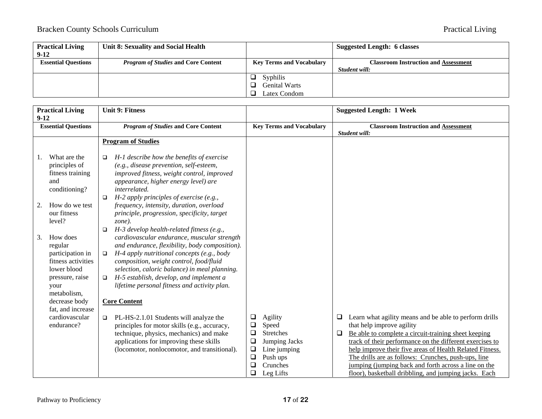| <b>Practical Living</b>    | Unit 8: Sexuality and Social Health        |                                 | Suggested Length: 6 classes                 |
|----------------------------|--------------------------------------------|---------------------------------|---------------------------------------------|
| $9-12$                     |                                            |                                 |                                             |
| <b>Essential Questions</b> | <i>Program of Studies</i> and Core Content | <b>Key Terms and Vocabulary</b> | <b>Classroom Instruction and Assessment</b> |
|                            |                                            |                                 | Student will:                               |
|                            |                                            | <b>Syphilis</b>                 |                                             |
|                            |                                            | <b>Genital Warts</b>            |                                             |
|                            |                                            | Latex Condom                    |                                             |

| $9-12$   | <b>Practical Living</b>                                                                                                                                                                                                                                                              | <b>Unit 9: Fitness</b>                                                                                                                                                                                                                                                                                                                                                                                                                                                                                                                                                                                                                                                                                                                                                                                                                    |                                                               |                                                                                                            |        | <b>Suggested Length: 1 Week</b>                                                                                                                                                                                                                                                                                                                                                                                                             |
|----------|--------------------------------------------------------------------------------------------------------------------------------------------------------------------------------------------------------------------------------------------------------------------------------------|-------------------------------------------------------------------------------------------------------------------------------------------------------------------------------------------------------------------------------------------------------------------------------------------------------------------------------------------------------------------------------------------------------------------------------------------------------------------------------------------------------------------------------------------------------------------------------------------------------------------------------------------------------------------------------------------------------------------------------------------------------------------------------------------------------------------------------------------|---------------------------------------------------------------|------------------------------------------------------------------------------------------------------------|--------|---------------------------------------------------------------------------------------------------------------------------------------------------------------------------------------------------------------------------------------------------------------------------------------------------------------------------------------------------------------------------------------------------------------------------------------------|
|          | <b>Essential Questions</b>                                                                                                                                                                                                                                                           | <b>Program of Studies and Core Content</b>                                                                                                                                                                                                                                                                                                                                                                                                                                                                                                                                                                                                                                                                                                                                                                                                |                                                               | <b>Key Terms and Vocabulary</b>                                                                            |        | <b>Classroom Instruction and Assessment</b><br>Student will:                                                                                                                                                                                                                                                                                                                                                                                |
| 2.<br>3. | What are the<br>principles of<br>fitness training<br>and<br>conditioning?<br>How do we test<br>our fitness<br>level?<br>How does<br>regular<br>participation in<br>fitness activities<br>lower blood<br>pressure, raise<br>your<br>metabolism,<br>decrease body<br>fat, and increase | <b>Program of Studies</b><br>H-1 describe how the benefits of exercise<br>$\Box$<br>(e.g., disease prevention, self-esteem,<br>improved fitness, weight control, improved<br>appearance, higher energy level) are<br>interrelated.<br>$H-2$ apply principles of exercise (e.g.,<br>$\Box$<br>frequency, intensity, duration, overload<br>principle, progression, specificity, target<br>$zone$ ).<br>H-3 develop health-related fitness (e.g.,<br>$\Box$<br>cardiovascular endurance, muscular strength<br>and endurance, flexibility, body composition).<br>H-4 apply nutritional concepts (e.g., body<br>$\Box$<br>composition, weight control, food/fluid<br>selection, caloric balance) in meal planning.<br>H-5 establish, develop, and implement a<br>$\Box$<br>lifetime personal fitness and activity plan.<br><b>Core Content</b> |                                                               |                                                                                                            |        |                                                                                                                                                                                                                                                                                                                                                                                                                                             |
|          | cardiovascular<br>endurance?                                                                                                                                                                                                                                                         | PL-HS-2.1.01 Students will analyze the<br>$\Box$<br>principles for motor skills (e.g., accuracy,<br>technique, physics, mechanics) and make<br>applications for improving these skills<br>(locomotor, nonlocomotor, and transitional).                                                                                                                                                                                                                                                                                                                                                                                                                                                                                                                                                                                                    | $\Box$<br>❏<br>❏<br>$\Box$<br>$\Box$<br>$\Box$<br>$\Box$<br>❏ | Agility<br>Speed<br><b>Stretches</b><br>Jumping Jacks<br>Line jumping<br>Push ups<br>Crunches<br>Leg Lifts | ⊔<br>□ | Learn what agility means and be able to perform drills<br>that help improve agility<br>Be able to complete a circuit-training sheet keeping<br>track of their performance on the different exercises to<br>help improve their five areas of Health Related Fitness.<br>The drills are as follows: Crunches, push-ups, line<br>jumping (jumping back and forth across a line on the<br>floor), basketball dribbling, and jumping jacks. Each |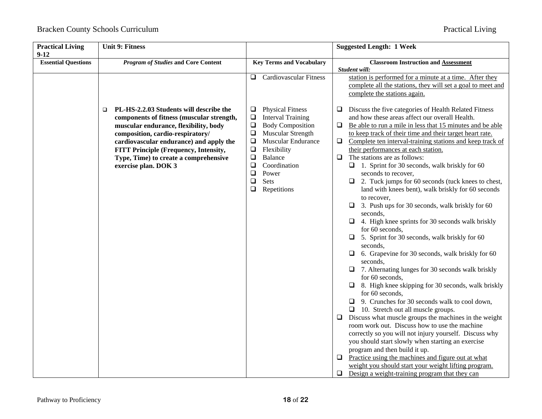| <b>Practical Living</b><br>$9-12$ | <b>Unit 9: Fitness</b>                                                                                                                                                      |                                                                                                                                                                                    | <b>Suggested Length: 1 Week</b>                                                                                                                                                                                                                                                                                                                                                                                                                                                                                                                                                                                                                                                                                                                                                                                                                                                                                                                                                                                                                                                                                                                                                                                                                                                                                                                                    |
|-----------------------------------|-----------------------------------------------------------------------------------------------------------------------------------------------------------------------------|------------------------------------------------------------------------------------------------------------------------------------------------------------------------------------|--------------------------------------------------------------------------------------------------------------------------------------------------------------------------------------------------------------------------------------------------------------------------------------------------------------------------------------------------------------------------------------------------------------------------------------------------------------------------------------------------------------------------------------------------------------------------------------------------------------------------------------------------------------------------------------------------------------------------------------------------------------------------------------------------------------------------------------------------------------------------------------------------------------------------------------------------------------------------------------------------------------------------------------------------------------------------------------------------------------------------------------------------------------------------------------------------------------------------------------------------------------------------------------------------------------------------------------------------------------------|
| <b>Essential Questions</b>        | <b>Program of Studies and Core Content</b>                                                                                                                                  | <b>Key Terms and Vocabulary</b>                                                                                                                                                    | <b>Classroom Instruction and Assessment</b>                                                                                                                                                                                                                                                                                                                                                                                                                                                                                                                                                                                                                                                                                                                                                                                                                                                                                                                                                                                                                                                                                                                                                                                                                                                                                                                        |
|                                   | PL-HS-2.2.03 Students will describe the<br>$\Box$<br>components of fitness (muscular strength,<br>muscular endurance, flexibility, body<br>composition, cardio-respiratory/ | <b>Cardiovascular Fitness</b><br>Q.<br><b>Physical Fitness</b><br>$\Box$<br>$\Box$<br><b>Interval Training</b><br>$\Box$<br><b>Body Composition</b><br>$\Box$<br>Muscular Strength | Student will:<br>station is performed for a minute at a time. After they<br>complete all the stations, they will set a goal to meet and<br>complete the stations again.<br>Discuss the five categories of Health Related Fitness<br>⊔<br>and how these areas affect our overall Health.<br>Be able to run a mile in less that 15 minutes and be able<br>$\Box$<br>to keep track of their time and their target heart rate.                                                                                                                                                                                                                                                                                                                                                                                                                                                                                                                                                                                                                                                                                                                                                                                                                                                                                                                                         |
|                                   | cardiovascular endurance) and apply the<br>FITT Principle (Frequency, Intensity,<br>Type, Time) to create a comprehensive<br>exercise plan. DOK 3                           | $\Box$<br>Muscular Endurance<br>$\Box$<br>Flexibility<br>$\Box$<br><b>Balance</b><br>$\Box$<br>Coordination<br>$\Box$<br>Power<br>Sets<br>$\Box$<br>Repetitions<br>$\Box$          | Complete ten interval-training stations and keep track of<br>❏<br>their performances at each station.<br>The stations are as follows:<br>$\Box$<br>$\Box$ 1. Sprint for 30 seconds, walk briskly for 60<br>seconds to recover,<br>2. Tuck jumps for 60 seconds (tuck knees to chest,<br>⊔<br>land with knees bent), walk briskly for 60 seconds<br>to recover,<br>3. Push ups for 30 seconds, walk briskly for 60<br>⊔<br>seconds.<br>4. High knee sprints for 30 seconds walk briskly<br>for 60 seconds.<br>5. Sprint for 30 seconds, walk briskly for 60<br>$\Box$<br>seconds.<br>6. Grapevine for 30 seconds, walk briskly for 60<br>□<br>seconds,<br>$\Box$ 7. Alternating lunges for 30 seconds walk briskly<br>for 60 seconds,<br>$\Box$ 8. High knee skipping for 30 seconds, walk briskly<br>for 60 seconds,<br>$\Box$ 9. Crunches for 30 seconds walk to cool down,<br>$\Box$ 10. Stretch out all muscle groups.<br>Discuss what muscle groups the machines in the weight<br>□<br>room work out. Discuss how to use the machine<br>correctly so you will not injury yourself. Discuss why<br>you should start slowly when starting an exercise<br>program and then build it up.<br>Practice using the machines and figure out at what<br>□<br>weight you should start your weight lifting program.<br>Design a weight-training program that they can<br>⊔ |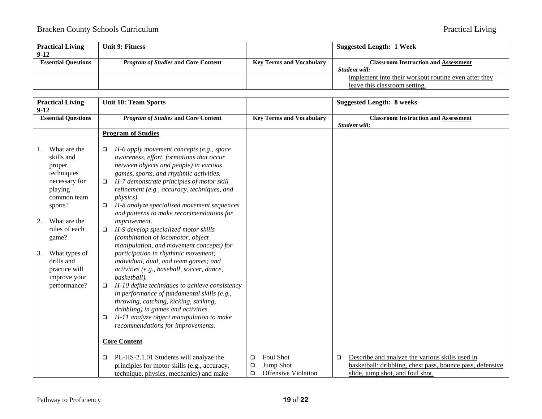| <b>Practical Living</b>    | Unit 9: Fitness                            |                                 | <b>Suggested Length: 1 Week</b>                      |
|----------------------------|--------------------------------------------|---------------------------------|------------------------------------------------------|
| $9-12$                     |                                            |                                 |                                                      |
| <b>Essential Ouestions</b> | <i>Program of Studies</i> and Core Content | <b>Key Terms and Vocabulary</b> | <b>Classroom Instruction and Assessment</b>          |
|                            |                                            |                                 | Student will:                                        |
|                            |                                            |                                 | implement into their workout routine even after they |
|                            |                                            |                                 | leave this classroom setting.                        |

| <b>Practical Living</b><br>$9 - 12$                                                                                                                            | <b>Unit 10: Team Sports</b>                                                                                                                                                                                                                                                                                                                                                                                                                                                                                                                                                                                                              |                                                                                 | <b>Suggested Length: 8 weeks</b>                                                                                                                      |
|----------------------------------------------------------------------------------------------------------------------------------------------------------------|------------------------------------------------------------------------------------------------------------------------------------------------------------------------------------------------------------------------------------------------------------------------------------------------------------------------------------------------------------------------------------------------------------------------------------------------------------------------------------------------------------------------------------------------------------------------------------------------------------------------------------------|---------------------------------------------------------------------------------|-------------------------------------------------------------------------------------------------------------------------------------------------------|
| <b>Essential Questions</b>                                                                                                                                     | <b>Program of Studies and Core Content</b>                                                                                                                                                                                                                                                                                                                                                                                                                                                                                                                                                                                               | <b>Key Terms and Vocabulary</b>                                                 | <b>Classroom Instruction and Assessment</b><br>Student will:                                                                                          |
| What are the<br>1.<br>skills and<br>proper<br>techniques<br>necessary for<br>playing<br>common team<br>sports?<br>What are the<br>2.<br>rules of each<br>game? | <b>Program of Studies</b><br>H-6 apply movement concepts (e.g., space<br>□<br>awareness, effort, formations that occur<br>between objects and people) in various<br>games, sports, and rhythmic activities.<br>H-7 demonstrate principles of motor skill<br>$\Box$<br>refinement (e.g., accuracy, techniques, and<br><i>physics</i> ).<br>H-8 analyze specialized movement sequences<br>□<br>and patterns to make recommendations for<br><i>improvement.</i><br>H-9 develop specialized motor skills<br>□<br>(combination of locomotor, object                                                                                           |                                                                                 |                                                                                                                                                       |
| What types of<br>3.<br>drills and<br>practice will<br>improve your<br>performance?                                                                             | manipulation, and movement concepts) for<br>participation in rhythmic movement;<br>individual, dual, and team games; and<br>activities (e.g., baseball, soccer, dance,<br>basketball).<br>H-10 define techniques to achieve consistency<br>$\Box$<br>in performance of fundamental skills (e.g.,<br>throwing, catching, kicking, striking,<br>dribbling) in games and activities.<br>H-11 analyze object manipulation to make<br>□<br>recommendations for improvements.<br><b>Core Content</b><br>PL-HS-2.1.01 Students will analyze the<br>□<br>principles for motor skills (e.g., accuracy,<br>technique, physics, mechanics) and make | <b>Foul Shot</b><br>❏<br>Jump Shot<br>□<br><b>Offensive Violation</b><br>$\Box$ | Describe and analyze the various skills used in<br>□<br>basketball: dribbling, chest pass, bounce pass, defensive<br>slide, jump shot, and foul shot. |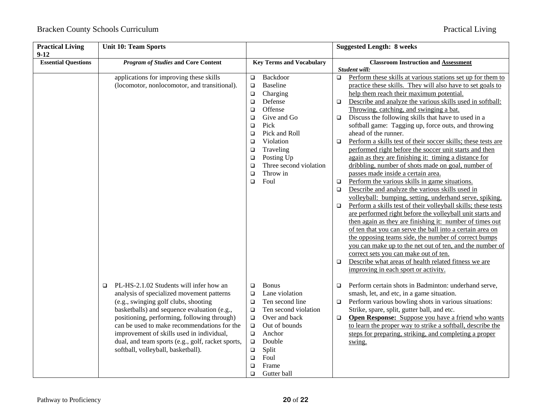| <b>Practical Living</b><br>$9-12$ | <b>Unit 10: Team Sports</b>                                                                                                                                                                                                                                                                                                                                                                                                 |                                                                                                                                                                                                                                                                                                                                         | <b>Suggested Length: 8 weeks</b>                                                                                                                                                                                                                                                                                                                                                                                                                                                                                                                                                                                                                                                                                                                                                                                                                                                                                                                                                                                                                                                                                                                                                                                                                                                                                                                                                                                                                         |
|-----------------------------------|-----------------------------------------------------------------------------------------------------------------------------------------------------------------------------------------------------------------------------------------------------------------------------------------------------------------------------------------------------------------------------------------------------------------------------|-----------------------------------------------------------------------------------------------------------------------------------------------------------------------------------------------------------------------------------------------------------------------------------------------------------------------------------------|----------------------------------------------------------------------------------------------------------------------------------------------------------------------------------------------------------------------------------------------------------------------------------------------------------------------------------------------------------------------------------------------------------------------------------------------------------------------------------------------------------------------------------------------------------------------------------------------------------------------------------------------------------------------------------------------------------------------------------------------------------------------------------------------------------------------------------------------------------------------------------------------------------------------------------------------------------------------------------------------------------------------------------------------------------------------------------------------------------------------------------------------------------------------------------------------------------------------------------------------------------------------------------------------------------------------------------------------------------------------------------------------------------------------------------------------------------|
| <b>Essential Questions</b>        | <b>Program of Studies and Core Content</b>                                                                                                                                                                                                                                                                                                                                                                                  | <b>Key Terms and Vocabulary</b>                                                                                                                                                                                                                                                                                                         | <b>Classroom Instruction and Assessment</b><br>Student will:                                                                                                                                                                                                                                                                                                                                                                                                                                                                                                                                                                                                                                                                                                                                                                                                                                                                                                                                                                                                                                                                                                                                                                                                                                                                                                                                                                                             |
|                                   | applications for improving these skills<br>(locomotor, nonlocomotor, and transitional).                                                                                                                                                                                                                                                                                                                                     | Backdoor<br>$\Box$<br><b>Baseline</b><br>$\Box$<br>Charging<br>$\Box$<br>$\Box$<br>Defense<br>Offense<br>$\Box$<br>Give and Go<br>$\Box$<br>Pick<br>$\Box$<br>Pick and Roll<br>$\Box$<br>Violation<br>$\Box$<br>Traveling<br>$\Box$<br>Posting Up<br>$\Box$<br>Three second violation<br>$\Box$<br>Throw in<br>$\Box$<br>Foul<br>$\Box$ | Perform these skills at various stations set up for them to<br>$\Box$<br>practice these skills. They will also have to set goals to<br>help them reach their maximum potential.<br>Describe and analyze the various skills used in softball:<br>$\Box$<br>Throwing, catching, and swinging a bat.<br>Discuss the following skills that have to used in a<br>$\Box$<br>softball game: Tagging up, force outs, and throwing<br>ahead of the runner.<br>Perform a skills test of their soccer skills; these tests are<br>$\Box$<br>performed right before the soccer unit starts and then<br>again as they are finishing it: timing a distance for<br>dribbling, number of shots made on goal, number of<br>passes made inside a certain area.<br>Perform the various skills in game situations.<br>$\Box$<br>Describe and analyze the various skills used in<br>o<br>volleyball: bumping, setting, underhand serve, spiking.<br>Perform a skills test of their volleyball skills; these tests<br>□<br>are performed right before the volleyball unit starts and<br>then again as they are finishing it: number of times out<br>of ten that you can serve the ball into a certain area on<br>the opposing teams side, the number of correct bumps<br>you can make up to the net out of ten, and the number of<br>correct sets you can make out of ten.<br>Describe what areas of health related fitness we are<br>o<br>improving in each sport or activity. |
|                                   | PL-HS-2.1.02 Students will infer how an<br>$\Box$<br>analysis of specialized movement patterns<br>(e.g., swinging golf clubs, shooting<br>basketballs) and sequence evaluation (e.g.,<br>positioning, performing, following through)<br>can be used to make recommendations for the<br>improvement of skills used in individual,<br>dual, and team sports (e.g., golf, racket sports,<br>softball, volleyball, basketball). | <b>Bonus</b><br>$\Box$<br>Lane violation<br>$\Box$<br>Ten second line<br>$\Box$<br>Ten second violation<br>$\Box$<br>Over and back<br>$\Box$<br>Out of bounds<br>$\Box$<br>Anchor<br>$\Box$<br>Double<br>$\Box$<br>Split<br>$\Box$<br>Foul<br>$\Box$<br>Frame<br>$\Box$<br>$\Box$<br>Gutter ball                                        | Perform certain shots in Badminton: underhand serve,<br>□<br>smash, let, and etc, in a game situation.<br>Perform various bowling shots in various situations:<br>$\Box$<br>Strike, spare, split, gutter ball, and etc.<br>Open Response: Suppose you have a friend who wants<br>$\Box$<br>to learn the proper way to strike a softball, describe the<br>steps for preparing, striking, and completing a proper<br>swing.                                                                                                                                                                                                                                                                                                                                                                                                                                                                                                                                                                                                                                                                                                                                                                                                                                                                                                                                                                                                                                |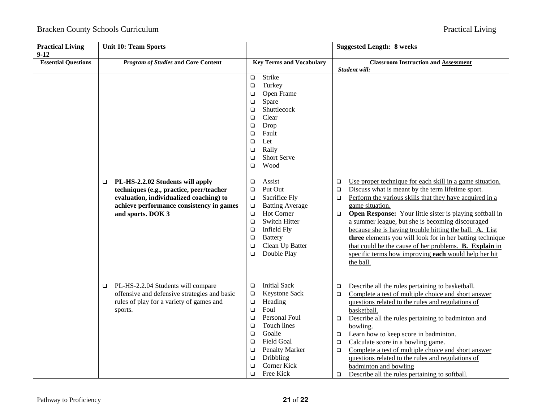| <b>Practical Living</b><br>$9 - 12$ | <b>Unit 10: Team Sports</b>                                                                                                                                                                        |                                                                                                                                                                                                                                                                                                           | <b>Suggested Length: 8 weeks</b>                                                                                                                                                                                                                                                                                                                                                                                                                                                                                                                                                                             |
|-------------------------------------|----------------------------------------------------------------------------------------------------------------------------------------------------------------------------------------------------|-----------------------------------------------------------------------------------------------------------------------------------------------------------------------------------------------------------------------------------------------------------------------------------------------------------|--------------------------------------------------------------------------------------------------------------------------------------------------------------------------------------------------------------------------------------------------------------------------------------------------------------------------------------------------------------------------------------------------------------------------------------------------------------------------------------------------------------------------------------------------------------------------------------------------------------|
| <b>Essential Questions</b>          | <b>Program of Studies and Core Content</b>                                                                                                                                                         | <b>Key Terms and Vocabulary</b>                                                                                                                                                                                                                                                                           | <b>Classroom Instruction and Assessment</b><br>Student will:                                                                                                                                                                                                                                                                                                                                                                                                                                                                                                                                                 |
|                                     |                                                                                                                                                                                                    | Strike<br>$\Box$<br>Turkey<br>$\Box$<br>Open Frame<br>$\Box$<br>Spare<br>$\Box$<br>Shuttlecock<br>$\Box$<br>Clear<br>$\Box$<br>Drop<br>□<br>Fault<br>$\Box$<br>Let<br>$\Box$<br>Rally<br>$\Box$<br>Short Serve<br>$\Box$<br>Wood<br>$\Box$                                                                |                                                                                                                                                                                                                                                                                                                                                                                                                                                                                                                                                                                                              |
|                                     | PL-HS-2.2.02 Students will apply<br>$\Box$<br>techniques (e.g., practice, peer/teacher<br>evaluation, individualized coaching) to<br>achieve performance consistency in games<br>and sports. DOK 3 | Assist<br>$\Box$<br>Put Out<br>$\Box$<br>Sacrifice Fly<br>$\Box$<br><b>Batting Average</b><br>$\Box$<br><b>Hot Corner</b><br>$\Box$<br><b>Switch Hitter</b><br>$\Box$<br>Infield Fly<br>$\Box$<br><b>Battery</b><br>$\Box$<br>Clean Up Batter<br>$\Box$<br>Double Play<br>$\Box$                          | Use proper technique for each skill in a game situation.<br>❏<br>Discuss what is meant by the term lifetime sport.<br>$\Box$<br>Perform the various skills that they have acquired in a<br>$\Box$<br>game situation.<br><b>Open Response:</b> Your little sister is playing softball in<br>$\Box$<br>a summer league, but she is becoming discouraged<br>because she is having trouble hitting the ball. A. List<br>three elements you will look for in her batting technique<br>that could be the cause of her problems. B. Explain in<br>specific terms how improving each would help her hit<br>the ball. |
|                                     | PL-HS-2.2.04 Students will compare<br>□<br>offensive and defensive strategies and basic<br>rules of play for a variety of games and<br>sports.                                                     | <b>Initial Sack</b><br>$\Box$<br>Keystone Sack<br>$\Box$<br>Heading<br>$\Box$<br>Foul<br>$\Box$<br>Personal Foul<br>$\Box$<br>Touch lines<br>$\Box$<br>Goalie<br>$\Box$<br><b>Field Goal</b><br>$\Box$<br>Penalty Marker<br>$\Box$<br>Dribbling<br>$\Box$<br>Corner Kick<br>$\Box$<br>Free Kick<br>$\Box$ | Describe all the rules pertaining to basketball.<br>❏<br>Complete a test of multiple choice and short answer<br>$\Box$<br>questions related to the rules and regulations of<br>basketball.<br>Describe all the rules pertaining to badminton and<br>$\Box$<br>bowling.<br>Learn how to keep score in badminton.<br>$\Box$<br>Calculate score in a bowling game.<br>$\Box$<br>Complete a test of multiple choice and short answer<br>$\Box$<br>questions related to the rules and regulations of<br>badminton and bowling<br>Describe all the rules pertaining to softball.<br>$\Box$                         |